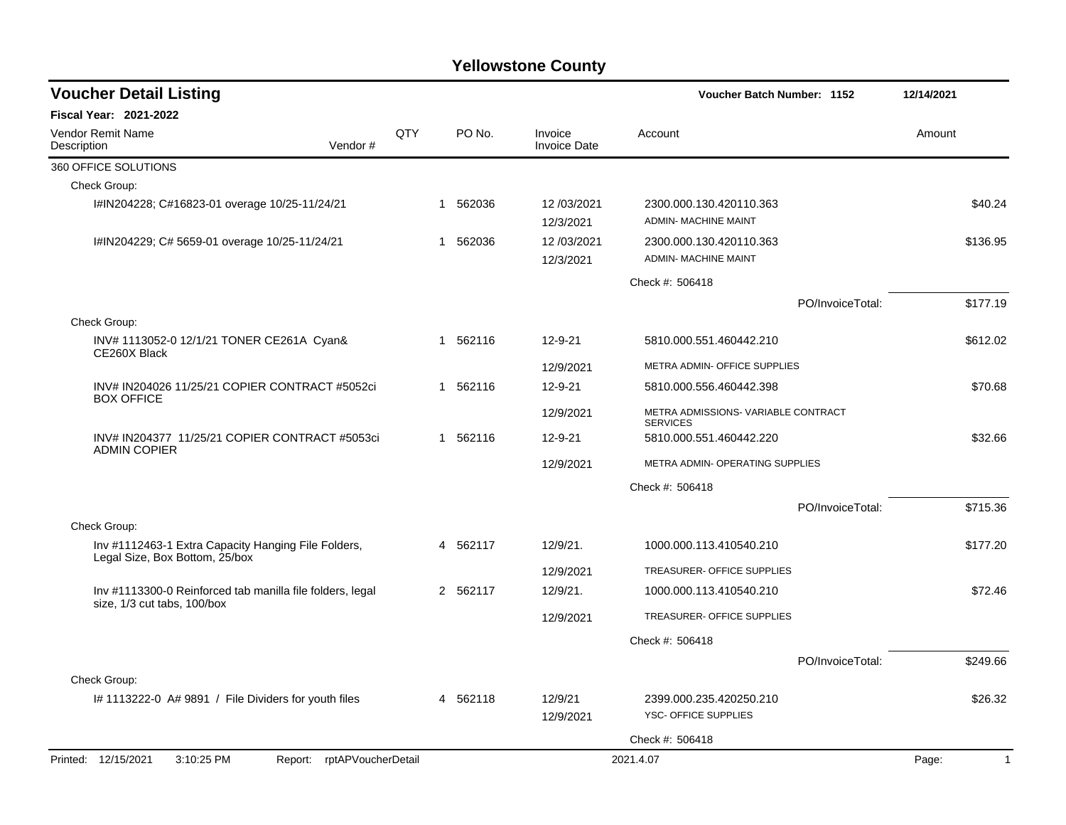| <b>Voucher Detail Listing</b>                                                         |     |                       |                                | Voucher Batch Number: 1152                             |                  | 12/14/2021              |
|---------------------------------------------------------------------------------------|-----|-----------------------|--------------------------------|--------------------------------------------------------|------------------|-------------------------|
| <b>Fiscal Year: 2021-2022</b>                                                         |     |                       |                                |                                                        |                  |                         |
| Vendor Remit Name<br>Description<br>Vendor#                                           | QTY | PO No.                | Invoice<br><b>Invoice Date</b> | Account                                                |                  | Amount                  |
| 360 OFFICE SOLUTIONS                                                                  |     |                       |                                |                                                        |                  |                         |
| Check Group:                                                                          |     |                       |                                |                                                        |                  |                         |
| I#IN204228; C#16823-01 overage 10/25-11/24/21                                         |     | 562036<br>1           | 12/03/2021<br>12/3/2021        | 2300.000.130.420110.363<br><b>ADMIN- MACHINE MAINT</b> |                  | \$40.24                 |
| I#IN204229; C# 5659-01 overage 10/25-11/24/21                                         |     | 562036<br>1           | 12/03/2021<br>12/3/2021        | 2300.000.130.420110.363<br><b>ADMIN- MACHINE MAINT</b> |                  | \$136.95                |
|                                                                                       |     |                       |                                | Check #: 506418                                        |                  |                         |
|                                                                                       |     |                       |                                |                                                        | PO/InvoiceTotal: | \$177.19                |
| Check Group:                                                                          |     |                       |                                |                                                        |                  |                         |
| INV# 1113052-0 12/1/21 TONER CE261A Cyan&<br>CE260X Black                             |     | 562116<br>-1          | $12 - 9 - 21$                  | 5810.000.551.460442.210                                |                  | \$612.02                |
|                                                                                       |     |                       | 12/9/2021                      | METRA ADMIN- OFFICE SUPPLIES                           |                  |                         |
| INV# IN204026 11/25/21 COPIER CONTRACT #5052ci                                        |     | 562116<br>$\mathbf 1$ | 12-9-21                        | 5810.000.556.460442.398                                |                  | \$70.68                 |
| <b>BOX OFFICE</b>                                                                     |     |                       | 12/9/2021                      | METRA ADMISSIONS- VARIABLE CONTRACT<br><b>SERVICES</b> |                  |                         |
| INV# IN204377 11/25/21 COPIER CONTRACT #5053ci<br><b>ADMIN COPIER</b>                 |     | 562116<br>$\mathbf 1$ | 12-9-21                        | 5810.000.551.460442.220                                |                  | \$32.66                 |
|                                                                                       |     |                       | 12/9/2021                      | METRA ADMIN- OPERATING SUPPLIES                        |                  |                         |
|                                                                                       |     |                       |                                | Check #: 506418                                        |                  |                         |
|                                                                                       |     |                       |                                |                                                        | PO/InvoiceTotal: | \$715.36                |
| Check Group:                                                                          |     |                       |                                |                                                        |                  |                         |
| Inv #1112463-1 Extra Capacity Hanging File Folders,<br>Legal Size, Box Bottom, 25/box |     | 4 562117              | 12/9/21.                       | 1000.000.113.410540.210                                |                  | \$177.20                |
|                                                                                       |     |                       | 12/9/2021                      | TREASURER- OFFICE SUPPLIES                             |                  |                         |
| Inv #1113300-0 Reinforced tab manilla file folders, legal                             |     | 2 562117              | 12/9/21.                       | 1000.000.113.410540.210                                |                  | \$72.46                 |
| size, 1/3 cut tabs, 100/box                                                           |     |                       | 12/9/2021                      | TREASURER- OFFICE SUPPLIES                             |                  |                         |
|                                                                                       |     |                       |                                | Check #: 506418                                        |                  |                         |
|                                                                                       |     |                       |                                |                                                        | PO/InvoiceTotal: | \$249.66                |
| Check Group:                                                                          |     |                       |                                |                                                        |                  |                         |
| I# 1113222-0 A# 9891 / File Dividers for youth files                                  |     | 4 562118              | 12/9/21<br>12/9/2021           | 2399.000.235.420250.210<br>YSC- OFFICE SUPPLIES        |                  | \$26.32                 |
|                                                                                       |     |                       |                                | Check #: 506418                                        |                  |                         |
| Printed: 12/15/2021<br>Report: rptAPVoucherDetail<br>3:10:25 PM                       |     |                       |                                | 2021.4.07                                              |                  | Page:<br>$\overline{1}$ |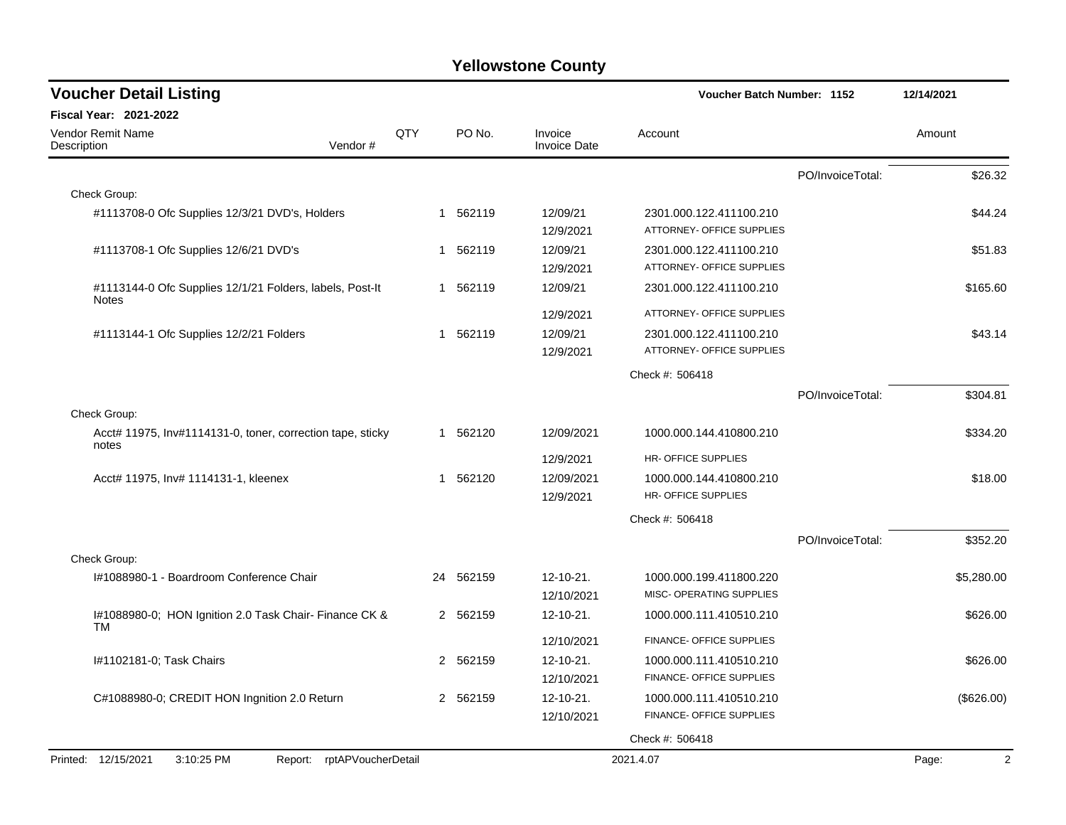| <b>Voucher Detail Listing</b>                                            | <b>Voucher Batch Number: 1152</b> | 12/14/2021 |                                |                                                            |                  |                           |
|--------------------------------------------------------------------------|-----------------------------------|------------|--------------------------------|------------------------------------------------------------|------------------|---------------------------|
| <b>Fiscal Year: 2021-2022</b>                                            |                                   |            |                                |                                                            |                  |                           |
| Vendor Remit Name<br>Vendor#<br>Description                              | QTY                               | PO No.     | Invoice<br><b>Invoice Date</b> | Account                                                    |                  | Amount                    |
|                                                                          |                                   |            |                                |                                                            | PO/InvoiceTotal: | \$26.32                   |
| Check Group:                                                             |                                   |            |                                |                                                            |                  |                           |
| #1113708-0 Ofc Supplies 12/3/21 DVD's, Holders                           | 1                                 | 562119     | 12/09/21<br>12/9/2021          | 2301.000.122.411100.210<br>ATTORNEY- OFFICE SUPPLIES       |                  | \$44.24                   |
| #1113708-1 Ofc Supplies 12/6/21 DVD's                                    |                                   | 1 562119   | 12/09/21<br>12/9/2021          | 2301.000.122.411100.210<br>ATTORNEY- OFFICE SUPPLIES       |                  | \$51.83                   |
| #1113144-0 Ofc Supplies 12/1/21 Folders, labels, Post-It<br><b>Notes</b> |                                   | 1 562119   | 12/09/21                       | 2301.000.122.411100.210                                    |                  | \$165.60                  |
|                                                                          |                                   |            | 12/9/2021                      | ATTORNEY- OFFICE SUPPLIES                                  |                  |                           |
| #1113144-1 Ofc Supplies 12/2/21 Folders                                  |                                   | 1 562119   | 12/09/21<br>12/9/2021          | 2301.000.122.411100.210<br>ATTORNEY- OFFICE SUPPLIES       |                  | \$43.14                   |
|                                                                          |                                   |            |                                | Check #: 506418                                            |                  |                           |
|                                                                          |                                   |            |                                |                                                            | PO/InvoiceTotal: | \$304.81                  |
| Check Group:                                                             |                                   |            |                                |                                                            |                  |                           |
| Acct# 11975, Inv#1114131-0, toner, correction tape, sticky<br>notes      |                                   | 1 562120   | 12/09/2021                     | 1000.000.144.410800.210                                    |                  | \$334.20                  |
|                                                                          |                                   |            | 12/9/2021                      | HR-OFFICE SUPPLIES                                         |                  |                           |
| Acct# 11975, Inv# 1114131-1, kleenex                                     |                                   | 1 562120   | 12/09/2021                     | 1000.000.144.410800.210                                    |                  | \$18.00                   |
|                                                                          |                                   |            | 12/9/2021                      | HR- OFFICE SUPPLIES                                        |                  |                           |
|                                                                          |                                   |            |                                | Check #: 506418                                            |                  |                           |
|                                                                          |                                   |            |                                |                                                            | PO/InvoiceTotal: | \$352.20                  |
| Check Group:                                                             |                                   |            |                                |                                                            |                  |                           |
| I#1088980-1 - Boardroom Conference Chair                                 |                                   | 24 562159  | 12-10-21.                      | 1000.000.199.411800.220<br><b>MISC- OPERATING SUPPLIES</b> |                  | \$5,280.00                |
|                                                                          |                                   |            | 12/10/2021                     |                                                            |                  |                           |
| I#1088980-0; HON Ignition 2.0 Task Chair- Finance CK &<br>TM             |                                   | 2 562159   | 12-10-21.                      | 1000.000.111.410510.210                                    |                  | \$626.00                  |
|                                                                          |                                   |            | 12/10/2021                     | FINANCE- OFFICE SUPPLIES                                   |                  |                           |
| I#1102181-0; Task Chairs                                                 | $\mathbf{2}^{\circ}$              | 562159     | $12 - 10 - 21$ .<br>12/10/2021 | 1000.000.111.410510.210<br>FINANCE- OFFICE SUPPLIES        |                  | \$626.00                  |
| C#1088980-0; CREDIT HON Ingnition 2.0 Return                             | 2                                 | 562159     | 12-10-21.                      | 1000.000.111.410510.210                                    |                  | (\$626.00)                |
|                                                                          |                                   |            | 12/10/2021                     | FINANCE- OFFICE SUPPLIES                                   |                  |                           |
|                                                                          |                                   |            |                                | Check #: 506418                                            |                  |                           |
| Printed: 12/15/2021<br>3:10:25 PM<br>Report: rptAPVoucherDetail          |                                   |            |                                | 2021.4.07                                                  |                  | $\boldsymbol{2}$<br>Page: |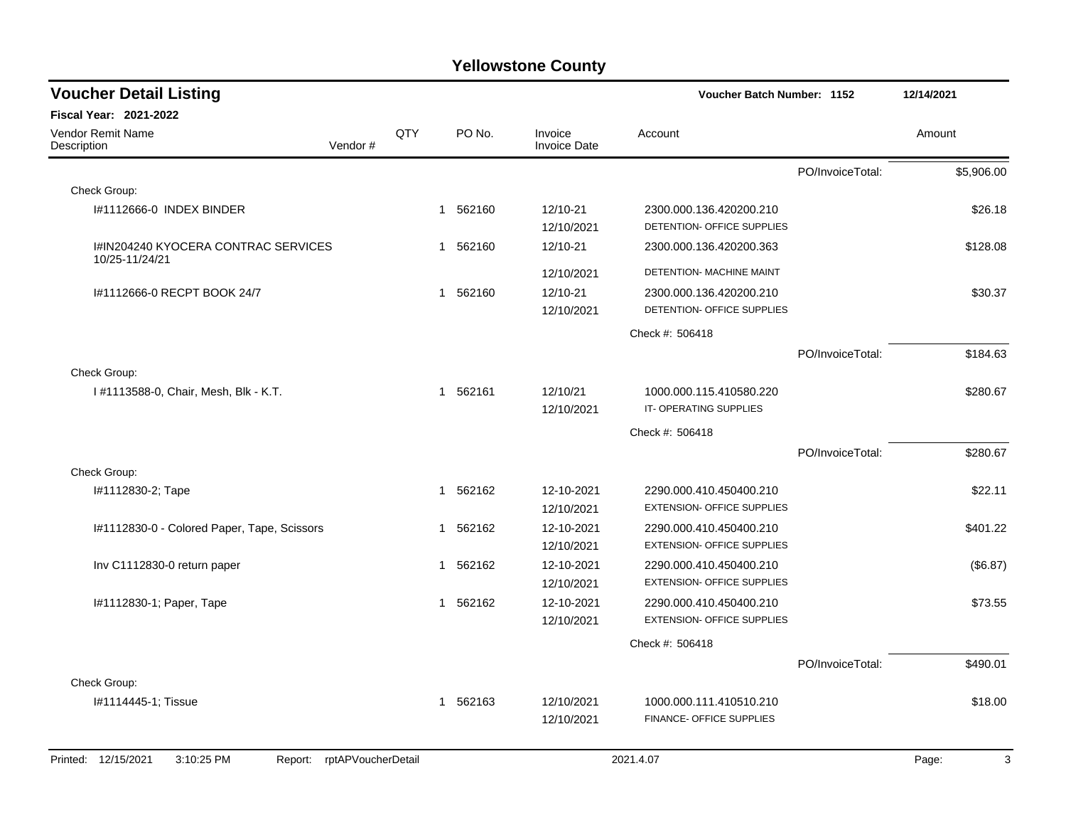| <b>Voucher Detail Listing</b>                         |                    |                        |                          |                                                  | Voucher Batch Number: 1152                            |                  | 12/14/2021 |
|-------------------------------------------------------|--------------------|------------------------|--------------------------|--------------------------------------------------|-------------------------------------------------------|------------------|------------|
| Fiscal Year: 2021-2022                                |                    |                        |                          |                                                  |                                                       |                  |            |
| Vendor Remit Name<br>Description                      | Vendor#            | QTY                    | PO No.                   | Invoice<br><b>Invoice Date</b>                   | Account                                               |                  | Amount     |
|                                                       |                    |                        |                          |                                                  |                                                       | PO/InvoiceTotal: | \$5,906.00 |
| Check Group:                                          |                    |                        |                          |                                                  |                                                       |                  |            |
| #1112666-0 INDEX BINDER                               |                    |                        | 562160<br>$\mathbf 1$    | 12/10-21<br>12/10/2021                           | 2300.000.136.420200.210<br>DETENTION- OFFICE SUPPLIES |                  | \$26.18    |
| I#IN204240 KYOCERA CONTRAC SERVICES<br>10/25-11/24/21 |                    |                        | 562160<br>1              | 12/10-21                                         | 2300.000.136.420200.363                               |                  | \$128.08   |
|                                                       |                    |                        |                          | 12/10/2021                                       | DETENTION- MACHINE MAINT                              |                  |            |
| #1112666-0 RECPT BOOK 24/7                            |                    |                        | 562160<br>1              | 12/10-21<br>12/10/2021                           | 2300.000.136.420200.210<br>DETENTION- OFFICE SUPPLIES |                  | \$30.37    |
|                                                       |                    |                        |                          |                                                  | Check #: 506418                                       |                  |            |
|                                                       |                    |                        |                          |                                                  |                                                       | PO/InvoiceTotal: | \$184.63   |
| Check Group:                                          |                    |                        |                          |                                                  |                                                       |                  |            |
| 1#1113588-0, Chair, Mesh, Blk - K.T.                  |                    | 562161<br>$\mathbf{1}$ | 12/10/21<br>12/10/2021   | 1000.000.115.410580.220<br>IT-OPERATING SUPPLIES |                                                       | \$280.67         |            |
|                                                       |                    |                        |                          |                                                  | Check #: 506418                                       |                  |            |
|                                                       |                    |                        |                          |                                                  |                                                       | PO/InvoiceTotal: | \$280.67   |
| Check Group:                                          |                    |                        |                          |                                                  |                                                       |                  |            |
| I#1112830-2; Tape                                     |                    |                        | 562162<br>$\overline{1}$ | 12-10-2021                                       | 2290.000.410.450400.210                               |                  | \$22.11    |
|                                                       |                    |                        |                          | 12/10/2021                                       | <b>EXTENSION- OFFICE SUPPLIES</b>                     |                  |            |
| I#1112830-0 - Colored Paper, Tape, Scissors           |                    |                        | 562162<br>1              | 12-10-2021                                       | 2290.000.410.450400.210                               |                  | \$401.22   |
|                                                       |                    |                        |                          | 12/10/2021                                       | <b>EXTENSION- OFFICE SUPPLIES</b>                     |                  |            |
| Inv C1112830-0 return paper                           |                    |                        | 562162<br>1              | 12-10-2021                                       | 2290.000.410.450400.210                               |                  | (\$6.87)   |
|                                                       |                    |                        |                          | 12/10/2021                                       | <b>EXTENSION- OFFICE SUPPLIES</b>                     |                  |            |
| I#1112830-1; Paper, Tape                              |                    |                        | 562162<br>1              | 12-10-2021                                       | 2290.000.410.450400.210                               |                  | \$73.55    |
|                                                       |                    |                        |                          | 12/10/2021                                       | <b>EXTENSION- OFFICE SUPPLIES</b>                     |                  |            |
|                                                       |                    |                        |                          |                                                  | Check #: 506418                                       |                  |            |
|                                                       |                    |                        |                          |                                                  |                                                       | PO/InvoiceTotal: | \$490.01   |
| Check Group:                                          |                    |                        |                          |                                                  |                                                       |                  |            |
| I#1114445-1; Tissue                                   |                    |                        | 562163<br>$\mathbf 1$    | 12/10/2021                                       | 1000.000.111.410510.210                               |                  | \$18.00    |
|                                                       |                    |                        |                          | 12/10/2021                                       | FINANCE- OFFICE SUPPLIES                              |                  |            |
|                                                       |                    |                        |                          |                                                  |                                                       |                  |            |
| Printed: 12/15/2021<br>3:10:25 PM<br>Report:          | rptAPVoucherDetail |                        |                          |                                                  | 2021.4.07                                             |                  | 3<br>Page: |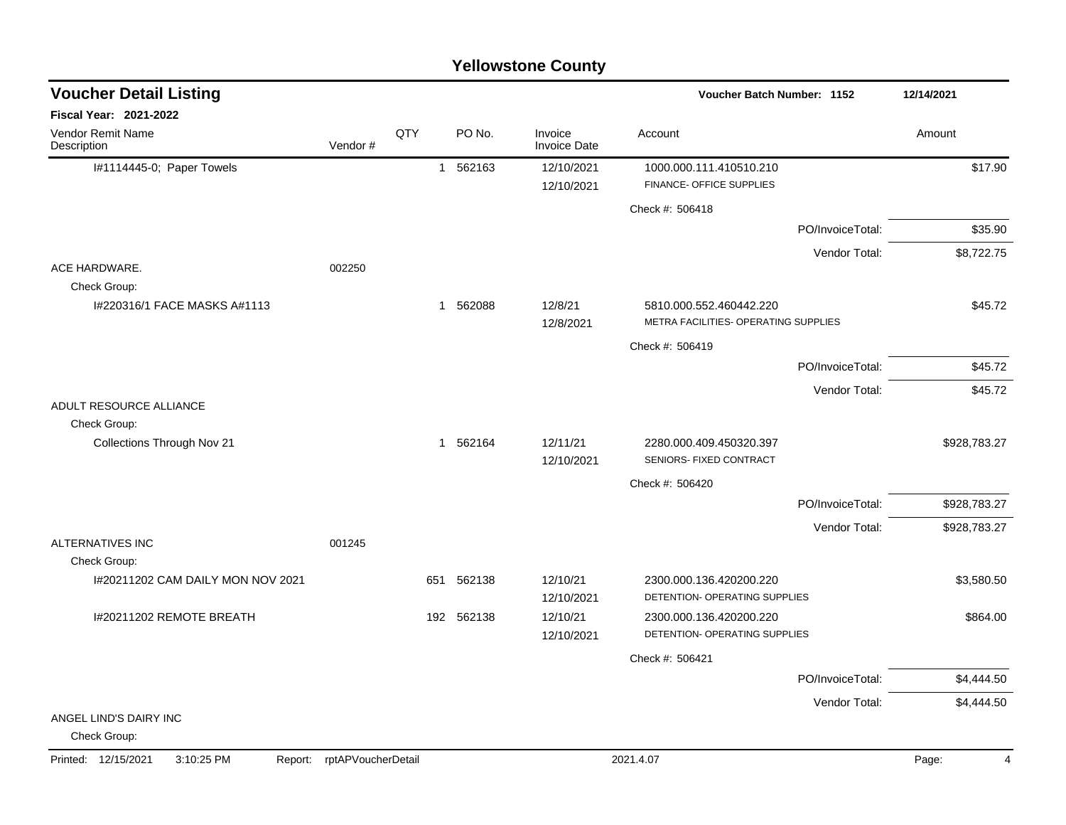#### I#1114445-0: Paper Towels **1 1 562163** 12/10/2021 1000.000.111.410510.210 1000.000 101.410510.210 12/10/2021 FINANCE- OFFICE SUPPLIES Check #: 506418 PO/InvoiceTotal: \$35.90 Vendor Total: \$8,722.75 ACE HARDWARE. 002250 Check Group: I#220316/1 FACE MASKS A#1113  $1562088$   $12/8/21$   $5810.000.552.460442.220$   $545.72$ 12/8/2021 METRA FACILITIES- OPERATING SUPPLIES Check #: 506419 PO/InvoiceTotal: \$45.72 Vendor Total: \$45.72 ADULT RESOURCE ALLIANCE Check Group: Collections Through Nov 21 1 262164 12/11/21 2280.000.409.450320.397 \$928,783.27 12/10/2021 SENIORS- FIXED CONTRACT Check #: 506420 PO/InvoiceTotal: \$928,783.27 Vendor Total: \$928,783.27 ALTERNATIVES INC 001245 Check Group: I#20211202 CAM DAILY MON NOV 2021 651 562138 12/10/21 2300.000.136.420200.220 \$3,580.50 12/10/2021 DETENTION- OPERATING SUPPLIES I#20211202 REMOTE BREATH 192 562138 12/10/21 2300.000.136.420200.220 \$864.00 12/10/2021 DETENTION- OPERATING SUPPLIES Check #: 506421 PO/InvoiceTotal: \$4,444.50 Vendor Total: \$4,444.50 ANGEL LIND'S DAIRY INC Check Group: **Voucher Batch Number: Yellowstone County** Vendor Remit Name **Description Voucher Detail Listing Fiscal Year: 2021-2022 1152 12/14/2021** PO No. Invoice Account Amount Amount Amount Amount Vendor # **QTY** Invoice Date

#### Printed: 12/15/2021 3:10:25 PM Report: rptAPVoucherDetail 2021.4.07 2021.4.07 Page: 4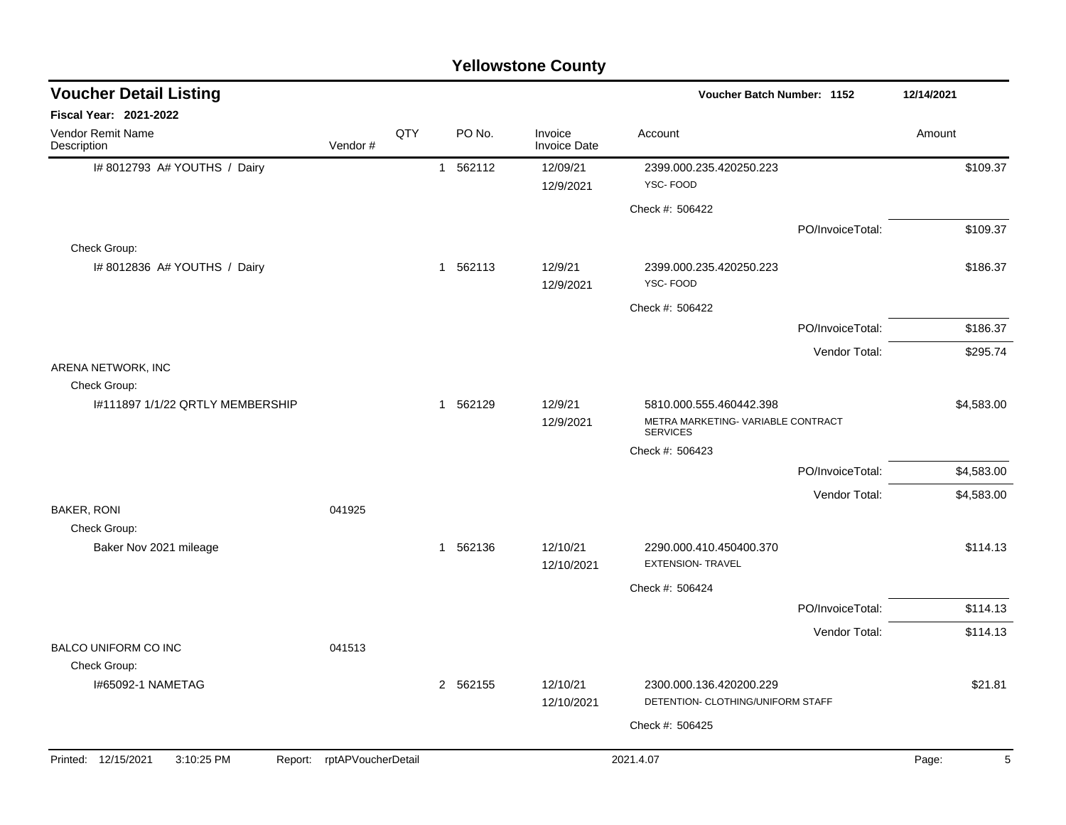|                                                  |                            |     |          | <b>Yellowstone County</b>      |                                                              |                  |            |
|--------------------------------------------------|----------------------------|-----|----------|--------------------------------|--------------------------------------------------------------|------------------|------------|
| <b>Voucher Detail Listing</b>                    |                            |     |          |                                | Voucher Batch Number: 1152                                   |                  | 12/14/2021 |
| Fiscal Year: 2021-2022                           |                            |     |          |                                |                                                              |                  |            |
| Vendor Remit Name<br>Description                 | Vendor#                    | QTY | PO No.   | Invoice<br><b>Invoice Date</b> | Account                                                      |                  | Amount     |
| I# 8012793 A# YOUTHS / Dairy                     |                            |     | 1 562112 | 12/09/21<br>12/9/2021          | 2399.000.235.420250.223<br>YSC-FOOD                          |                  | \$109.37   |
|                                                  |                            |     |          |                                | Check #: 506422                                              |                  |            |
|                                                  |                            |     |          |                                |                                                              | PO/InvoiceTotal: | \$109.37   |
| Check Group:                                     |                            |     |          |                                |                                                              |                  |            |
| I# 8012836 A# YOUTHS / Dairy                     |                            |     | 1 562113 | 12/9/21<br>12/9/2021           | 2399.000.235.420250.223<br>YSC-FOOD                          |                  | \$186.37   |
|                                                  |                            |     |          |                                | Check #: 506422                                              |                  |            |
|                                                  |                            |     |          |                                |                                                              | PO/InvoiceTotal: | \$186.37   |
|                                                  |                            |     |          |                                |                                                              | Vendor Total:    | \$295.74   |
| ARENA NETWORK, INC                               |                            |     |          |                                |                                                              |                  |            |
| Check Group:<br>1#111897 1/1/22 QRTLY MEMBERSHIP |                            |     | 1 562129 | 12/9/21                        | 5810.000.555.460442.398                                      |                  | \$4,583.00 |
|                                                  |                            |     |          | 12/9/2021                      | METRA MARKETING- VARIABLE CONTRACT<br><b>SERVICES</b>        |                  |            |
|                                                  |                            |     |          |                                | Check #: 506423                                              |                  |            |
|                                                  |                            |     |          |                                |                                                              | PO/InvoiceTotal: | \$4,583.00 |
|                                                  |                            |     |          |                                |                                                              | Vendor Total:    | \$4,583.00 |
| <b>BAKER, RONI</b><br>Check Group:               | 041925                     |     |          |                                |                                                              |                  |            |
| Baker Nov 2021 mileage                           |                            |     | 1 562136 | 12/10/21<br>12/10/2021         | 2290.000.410.450400.370<br><b>EXTENSION- TRAVEL</b>          |                  | \$114.13   |
|                                                  |                            |     |          |                                | Check #: 506424                                              |                  |            |
|                                                  |                            |     |          |                                |                                                              | PO/InvoiceTotal: | \$114.13   |
|                                                  |                            |     |          |                                |                                                              | Vendor Total:    | \$114.13   |
| <b>BALCO UNIFORM CO INC</b>                      | 041513                     |     |          |                                |                                                              |                  |            |
| Check Group:                                     |                            |     |          |                                |                                                              |                  |            |
| I#65092-1 NAMETAG                                |                            |     | 2 562155 | 12/10/21<br>12/10/2021         | 2300.000.136.420200.229<br>DETENTION- CLOTHING/UNIFORM STAFF |                  | \$21.81    |
|                                                  |                            |     |          |                                | Check #: 506425                                              |                  |            |
|                                                  |                            |     |          |                                |                                                              |                  |            |
| Printed: 12/15/2021<br>3:10:25 PM                | Report: rptAPVoucherDetail |     |          |                                | 2021.4.07                                                    |                  | Page:<br>5 |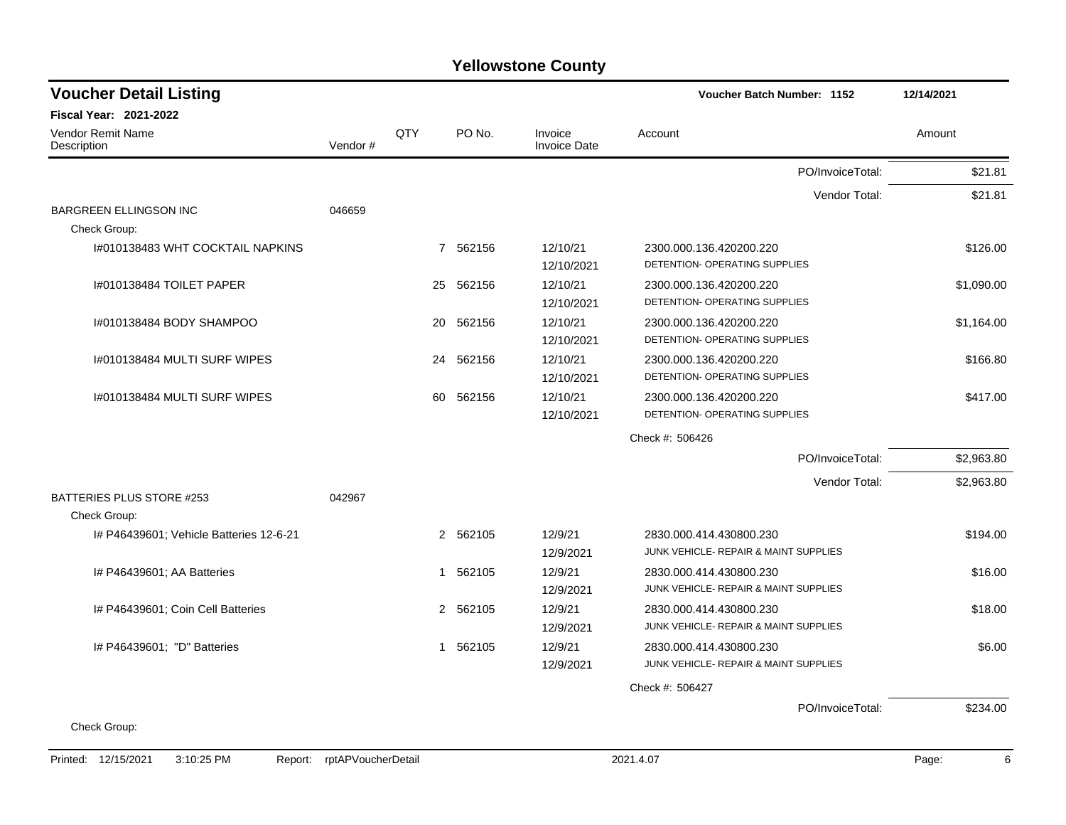| <b>Voucher Detail Listing</b>                 |                            |     |           |                                | Voucher Batch Number: 1152                                       | 12/14/2021 |
|-----------------------------------------------|----------------------------|-----|-----------|--------------------------------|------------------------------------------------------------------|------------|
| Fiscal Year: 2021-2022                        |                            |     |           |                                |                                                                  |            |
| Vendor Remit Name<br>Description              | Vendor#                    | QTY | PO No.    | Invoice<br><b>Invoice Date</b> | Account                                                          | Amount     |
|                                               |                            |     |           |                                | PO/InvoiceTotal:                                                 | \$21.81    |
|                                               |                            |     |           |                                | Vendor Total:                                                    | \$21.81    |
| <b>BARGREEN ELLINGSON INC</b><br>Check Group: | 046659                     |     |           |                                |                                                                  |            |
| I#010138483 WHT COCKTAIL NAPKINS              |                            |     | 7 562156  | 12/10/21<br>12/10/2021         | 2300.000.136.420200.220<br>DETENTION- OPERATING SUPPLIES         | \$126.00   |
| 1#010138484 TOILET PAPER                      |                            | 25  | 562156    | 12/10/21<br>12/10/2021         | 2300.000.136.420200.220<br>DETENTION- OPERATING SUPPLIES         | \$1,090.00 |
| I#010138484 BODY SHAMPOO                      |                            | 20  | 562156    | 12/10/21<br>12/10/2021         | 2300.000.136.420200.220<br>DETENTION- OPERATING SUPPLIES         | \$1,164.00 |
| I#010138484 MULTI SURF WIPES                  |                            |     | 24 562156 | 12/10/21<br>12/10/2021         | 2300.000.136.420200.220<br>DETENTION- OPERATING SUPPLIES         | \$166.80   |
| I#010138484 MULTI SURF WIPES                  |                            |     | 60 562156 | 12/10/21<br>12/10/2021         | 2300.000.136.420200.220<br>DETENTION- OPERATING SUPPLIES         | \$417.00   |
|                                               |                            |     |           |                                | Check #: 506426                                                  |            |
|                                               |                            |     |           |                                | PO/InvoiceTotal:                                                 | \$2,963.80 |
|                                               |                            |     |           |                                | Vendor Total:                                                    | \$2,963.80 |
| BATTERIES PLUS STORE #253<br>Check Group:     | 042967                     |     |           |                                |                                                                  |            |
| # P46439601; Vehicle Batteries 12-6-21        |                            |     | 2 562105  | 12/9/21<br>12/9/2021           | 2830.000.414.430800.230<br>JUNK VEHICLE- REPAIR & MAINT SUPPLIES | \$194.00   |
| I# P46439601; AA Batteries                    |                            |     | 1 562105  | 12/9/21<br>12/9/2021           | 2830.000.414.430800.230<br>JUNK VEHICLE- REPAIR & MAINT SUPPLIES | \$16.00    |
| I# P46439601; Coin Cell Batteries             |                            |     | 2 562105  | 12/9/21<br>12/9/2021           | 2830.000.414.430800.230<br>JUNK VEHICLE- REPAIR & MAINT SUPPLIES | \$18.00    |
| I# P46439601; "D" Batteries                   |                            |     | 1 562105  | 12/9/21<br>12/9/2021           | 2830.000.414.430800.230<br>JUNK VEHICLE- REPAIR & MAINT SUPPLIES | \$6.00     |
|                                               |                            |     |           |                                | Check #: 506427                                                  |            |
|                                               |                            |     |           |                                | PO/InvoiceTotal:                                                 | \$234.00   |
| Check Group:                                  |                            |     |           |                                |                                                                  |            |
| Printed: 12/15/2021<br>3:10:25 PM             | Report: rptAPVoucherDetail |     |           |                                | 2021.4.07                                                        | 6<br>Page: |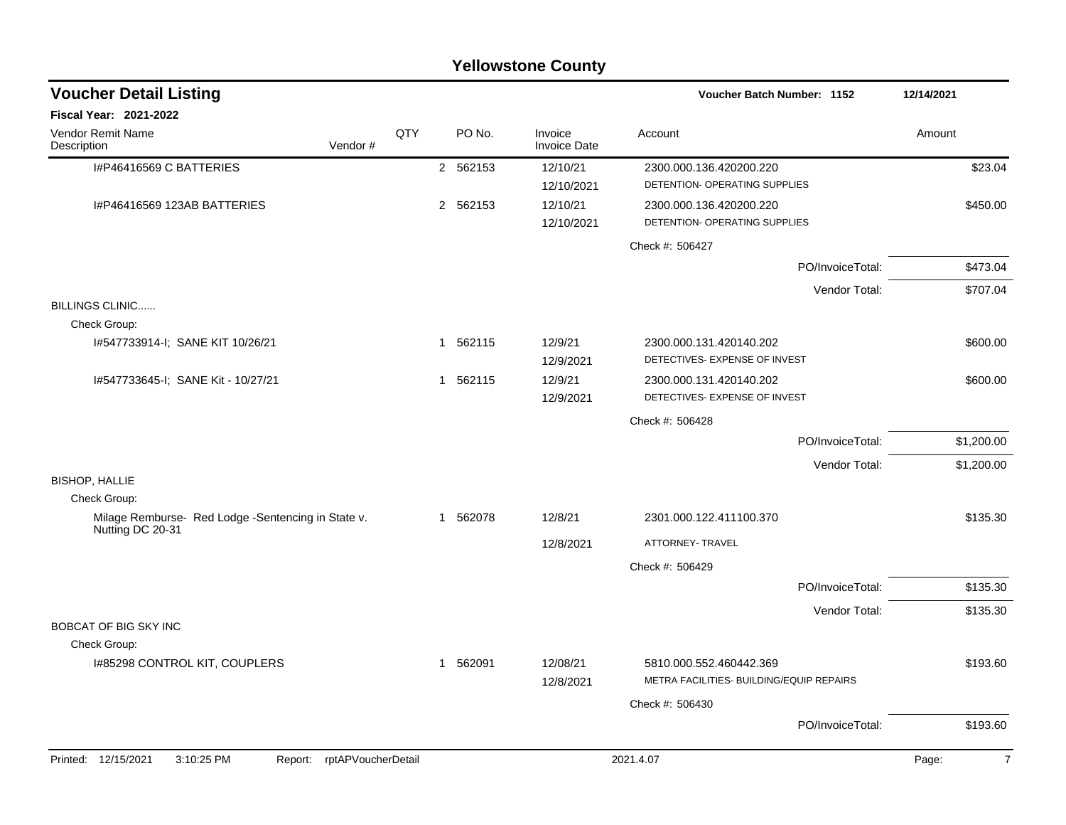| <b>Yellowstone County</b>                                          |                            |     |              |          |                                |                                                                     |                  |                         |  |  |  |
|--------------------------------------------------------------------|----------------------------|-----|--------------|----------|--------------------------------|---------------------------------------------------------------------|------------------|-------------------------|--|--|--|
| <b>Voucher Detail Listing</b>                                      |                            |     |              |          |                                | Voucher Batch Number: 1152                                          |                  | 12/14/2021              |  |  |  |
| Fiscal Year: 2021-2022                                             |                            |     |              |          |                                |                                                                     |                  |                         |  |  |  |
| Vendor Remit Name<br>Description                                   | Vendor#                    | QTY |              | PO No.   | Invoice<br><b>Invoice Date</b> | Account                                                             |                  | Amount                  |  |  |  |
| I#P46416569 C BATTERIES                                            |                            |     |              | 2 562153 | 12/10/21<br>12/10/2021         | 2300.000.136.420200.220<br>DETENTION- OPERATING SUPPLIES            |                  | \$23.04                 |  |  |  |
| I#P46416569 123AB BATTERIES                                        |                            |     |              | 2 562153 | 12/10/21<br>12/10/2021         | 2300.000.136.420200.220<br>DETENTION- OPERATING SUPPLIES            |                  | \$450.00                |  |  |  |
|                                                                    |                            |     |              |          |                                | Check #: 506427                                                     |                  |                         |  |  |  |
|                                                                    |                            |     |              |          |                                |                                                                     | PO/InvoiceTotal: | \$473.04                |  |  |  |
|                                                                    |                            |     |              |          |                                |                                                                     | Vendor Total:    | \$707.04                |  |  |  |
| <b>BILLINGS CLINIC</b><br>Check Group:                             |                            |     |              |          |                                |                                                                     |                  |                         |  |  |  |
| I#547733914-I; SANE KIT 10/26/21                                   |                            |     | -1           | 562115   | 12/9/21<br>12/9/2021           | 2300.000.131.420140.202<br>DETECTIVES- EXPENSE OF INVEST            |                  | \$600.00                |  |  |  |
| I#547733645-I; SANE Kit - 10/27/21                                 |                            |     | $\mathbf{1}$ | 562115   | 12/9/21<br>12/9/2021           | 2300.000.131.420140.202<br>DETECTIVES- EXPENSE OF INVEST            |                  | \$600.00                |  |  |  |
|                                                                    |                            |     |              |          |                                | Check #: 506428                                                     |                  |                         |  |  |  |
|                                                                    |                            |     |              |          |                                |                                                                     | PO/InvoiceTotal: | \$1,200.00              |  |  |  |
|                                                                    |                            |     |              |          |                                |                                                                     | Vendor Total:    | \$1,200.00              |  |  |  |
| <b>BISHOP, HALLIE</b>                                              |                            |     |              |          |                                |                                                                     |                  |                         |  |  |  |
| Check Group:<br>Milage Remburse- Red Lodge -Sentencing in State v. |                            |     | -1           | 562078   | 12/8/21                        | 2301.000.122.411100.370                                             |                  | \$135.30                |  |  |  |
| Nutting DC 20-31                                                   |                            |     |              |          |                                |                                                                     |                  |                         |  |  |  |
|                                                                    |                            |     |              |          | 12/8/2021                      | ATTORNEY- TRAVEL                                                    |                  |                         |  |  |  |
|                                                                    |                            |     |              |          |                                | Check #: 506429                                                     |                  |                         |  |  |  |
|                                                                    |                            |     |              |          |                                |                                                                     | PO/InvoiceTotal: | \$135.30                |  |  |  |
| <b>BOBCAT OF BIG SKY INC</b>                                       |                            |     |              |          |                                |                                                                     | Vendor Total:    | \$135.30                |  |  |  |
| Check Group:                                                       |                            |     |              |          |                                |                                                                     |                  |                         |  |  |  |
| I#85298 CONTROL KIT, COUPLERS                                      |                            |     | $\mathbf 1$  | 562091   | 12/08/21<br>12/8/2021          | 5810.000.552.460442.369<br>METRA FACILITIES- BUILDING/EQUIP REPAIRS |                  | \$193.60                |  |  |  |
|                                                                    |                            |     |              |          |                                | Check #: 506430                                                     |                  |                         |  |  |  |
|                                                                    |                            |     |              |          |                                |                                                                     | PO/InvoiceTotal: | \$193.60                |  |  |  |
| Printed: 12/15/2021<br>3:10:25 PM                                  | Report: rptAPVoucherDetail |     |              |          |                                | 2021.4.07                                                           |                  | Page:<br>$\overline{7}$ |  |  |  |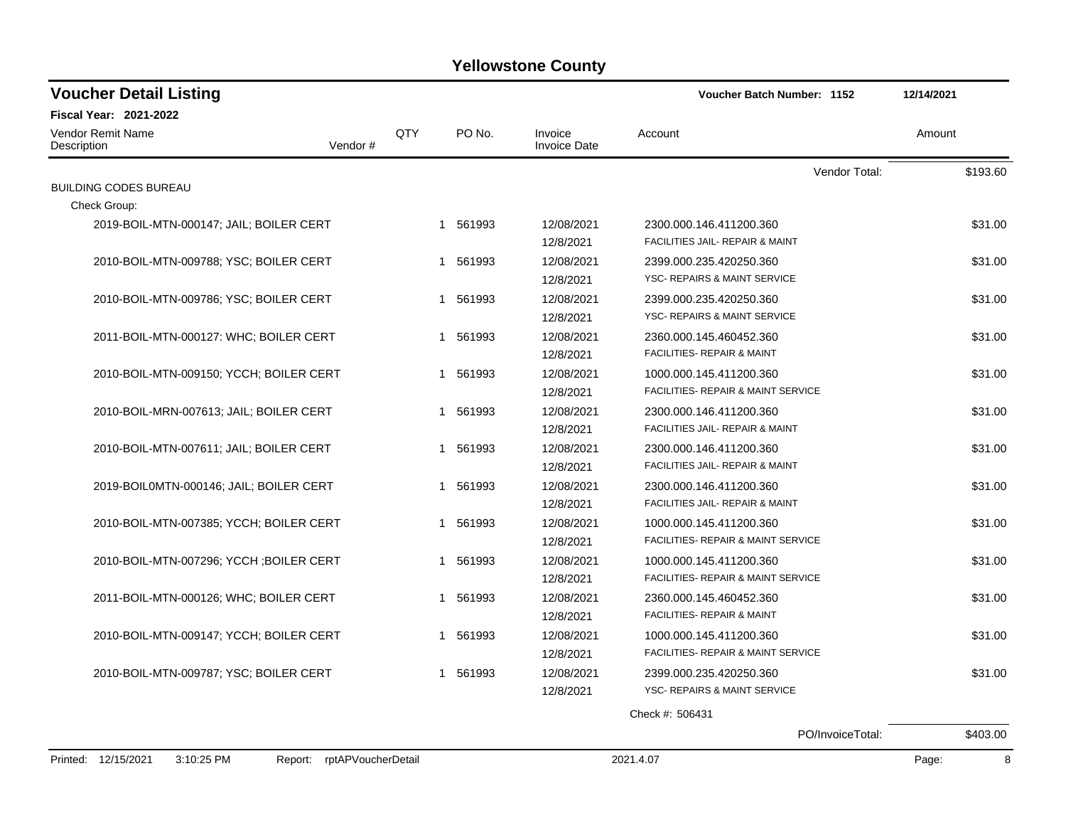| <b>Voucher Detail Listing</b>            |         |     |             |                                | Voucher Batch Number: 1152              | 12/14/2021 |
|------------------------------------------|---------|-----|-------------|--------------------------------|-----------------------------------------|------------|
| Fiscal Year: 2021-2022                   |         |     |             |                                |                                         |            |
| Vendor Remit Name<br>Description         | Vendor# | QTY | PO No.      | Invoice<br><b>Invoice Date</b> | Account                                 | Amount     |
|                                          |         |     |             |                                | Vendor Total:                           | \$193.60   |
| <b>BUILDING CODES BUREAU</b>             |         |     |             |                                |                                         |            |
| Check Group:                             |         |     |             |                                |                                         |            |
| 2019-BOIL-MTN-000147; JAIL; BOILER CERT  |         |     | 1 561993    | 12/08/2021                     | 2300.000.146.411200.360                 | \$31.00    |
|                                          |         |     |             | 12/8/2021                      | FACILITIES JAIL- REPAIR & MAINT         |            |
| 2010-BOIL-MTN-009788; YSC; BOILER CERT   |         |     | 1 561993    | 12/08/2021                     | 2399.000.235.420250.360                 | \$31.00    |
|                                          |         |     |             | 12/8/2021                      | YSC- REPAIRS & MAINT SERVICE            |            |
| 2010-BOIL-MTN-009786; YSC; BOILER CERT   |         |     | 1 561993    | 12/08/2021                     | 2399.000.235.420250.360                 | \$31.00    |
|                                          |         |     |             | 12/8/2021                      | YSC- REPAIRS & MAINT SERVICE            |            |
| 2011-BOIL-MTN-000127: WHC; BOILER CERT   |         |     | 1 561993    | 12/08/2021                     | 2360.000.145.460452.360                 | \$31.00    |
|                                          |         |     |             | 12/8/2021                      | FACILITIES- REPAIR & MAINT              |            |
| 2010-BOIL-MTN-009150; YCCH; BOILER CERT  |         |     | 1 561993    | 12/08/2021                     | 1000.000.145.411200.360                 | \$31.00    |
|                                          |         |     |             | 12/8/2021                      | FACILITIES- REPAIR & MAINT SERVICE      |            |
| 2010-BOIL-MRN-007613; JAIL; BOILER CERT  |         |     | 1 561993    | 12/08/2021                     | 2300.000.146.411200.360                 | \$31.00    |
|                                          |         |     |             | 12/8/2021                      | FACILITIES JAIL- REPAIR & MAINT         |            |
| 2010-BOIL-MTN-007611; JAIL; BOILER CERT  |         |     | 1 561993    | 12/08/2021                     | 2300.000.146.411200.360                 | \$31.00    |
|                                          |         |     |             | 12/8/2021                      | FACILITIES JAIL- REPAIR & MAINT         |            |
| 2019-BOIL0MTN-000146; JAIL; BOILER CERT  |         |     | 1 561993    | 12/08/2021                     | 2300.000.146.411200.360                 | \$31.00    |
|                                          |         |     |             | 12/8/2021                      | FACILITIES JAIL- REPAIR & MAINT         |            |
| 2010-BOIL-MTN-007385; YCCH; BOILER CERT  |         |     | 1 561993    | 12/08/2021                     | 1000.000.145.411200.360                 | \$31.00    |
|                                          |         |     |             | 12/8/2021                      | FACILITIES- REPAIR & MAINT SERVICE      |            |
| 2010-BOIL-MTN-007296; YCCH ; BOILER CERT |         |     | 561993<br>1 | 12/08/2021                     | 1000.000.145.411200.360                 | \$31.00    |
|                                          |         |     |             | 12/8/2021                      | FACILITIES- REPAIR & MAINT SERVICE      |            |
| 2011-BOIL-MTN-000126; WHC; BOILER CERT   |         |     | 1 561993    | 12/08/2021                     | 2360.000.145.460452.360                 | \$31.00    |
|                                          |         |     |             | 12/8/2021                      | <b>FACILITIES- REPAIR &amp; MAINT</b>   |            |
| 2010-BOIL-MTN-009147; YCCH; BOILER CERT  |         |     | 1 561993    | 12/08/2021                     | 1000.000.145.411200.360                 | \$31.00    |
|                                          |         |     |             | 12/8/2021                      | FACILITIES- REPAIR & MAINT SERVICE      |            |
|                                          |         |     |             |                                |                                         |            |
| 2010-BOIL-MTN-009787; YSC; BOILER CERT   |         |     | 1 561993    | 12/08/2021                     | 2399.000.235.420250.360                 | \$31.00    |
|                                          |         |     |             | 12/8/2021                      | <b>YSC- REPAIRS &amp; MAINT SERVICE</b> |            |
|                                          |         |     |             |                                | Check #: 506431                         |            |
|                                          |         |     |             |                                | PO/InvoiceTotal:                        | \$403.00   |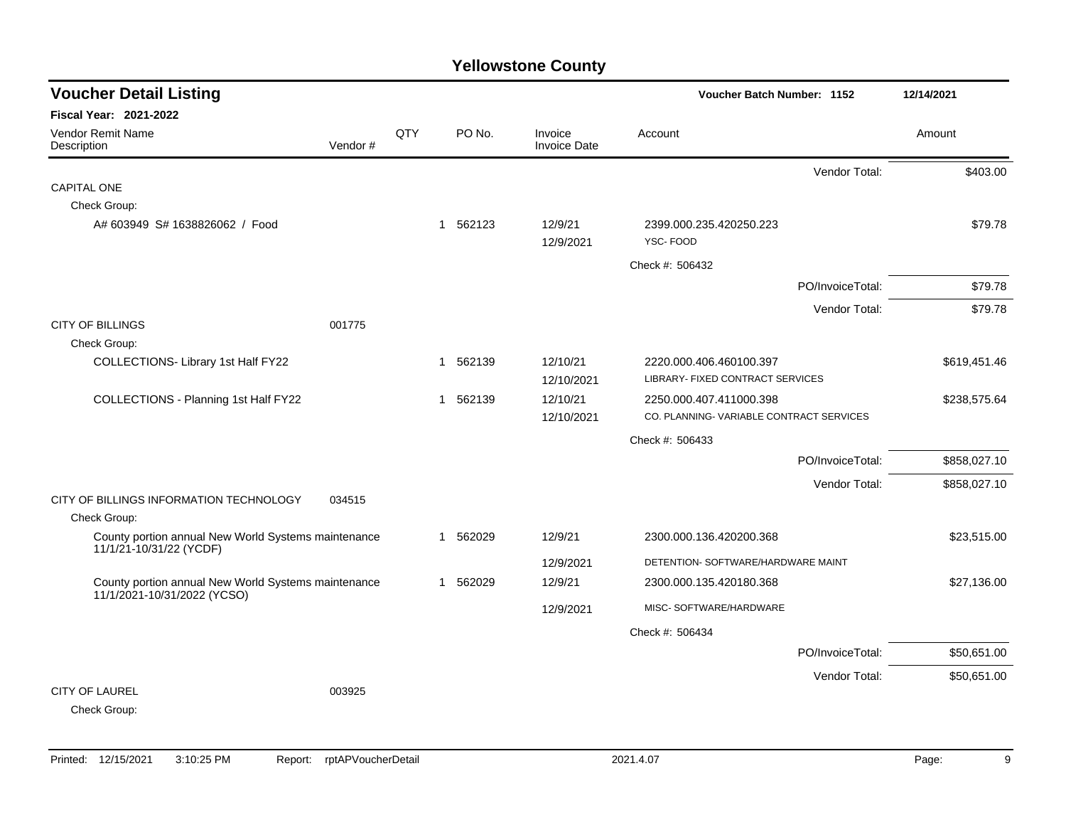| <b>Voucher Detail Listing</b>                                                      |         |     |   |          |                                |                                                             | <b>Voucher Batch Number: 1152</b> |              |  |
|------------------------------------------------------------------------------------|---------|-----|---|----------|--------------------------------|-------------------------------------------------------------|-----------------------------------|--------------|--|
| <b>Fiscal Year: 2021-2022</b>                                                      |         |     |   |          |                                |                                                             |                                   |              |  |
| Vendor Remit Name<br>Description                                                   | Vendor# | QTY |   | PO No.   | Invoice<br><b>Invoice Date</b> | Account                                                     |                                   | Amount       |  |
|                                                                                    |         |     |   |          |                                |                                                             | Vendor Total:                     | \$403.00     |  |
| <b>CAPITAL ONE</b>                                                                 |         |     |   |          |                                |                                                             |                                   |              |  |
| Check Group:                                                                       |         |     |   |          |                                |                                                             |                                   |              |  |
| A# 603949 S# 1638826062 / Food                                                     |         |     |   | 1 562123 | 12/9/21<br>12/9/2021           | 2399.000.235.420250.223<br>YSC-FOOD                         |                                   | \$79.78      |  |
|                                                                                    |         |     |   |          |                                | Check #: 506432                                             |                                   |              |  |
|                                                                                    |         |     |   |          |                                |                                                             | PO/InvoiceTotal:                  | \$79.78      |  |
|                                                                                    |         |     |   |          |                                |                                                             | Vendor Total:                     | \$79.78      |  |
| <b>CITY OF BILLINGS</b>                                                            | 001775  |     |   |          |                                |                                                             |                                   |              |  |
| Check Group:                                                                       |         |     |   |          |                                |                                                             |                                   |              |  |
| COLLECTIONS- Library 1st Half FY22                                                 |         |     |   | 1 562139 | 12/10/21<br>12/10/2021         | 2220.000.406.460100.397<br>LIBRARY- FIXED CONTRACT SERVICES |                                   | \$619,451.46 |  |
| COLLECTIONS - Planning 1st Half FY22                                               |         |     | 1 | 562139   | 12/10/21                       | 2250.000.407.411000.398                                     |                                   | \$238,575.64 |  |
|                                                                                    |         |     |   |          | 12/10/2021                     | CO. PLANNING-VARIABLE CONTRACT SERVICES                     |                                   |              |  |
|                                                                                    |         |     |   |          |                                | Check #: 506433                                             |                                   |              |  |
|                                                                                    |         |     |   |          |                                |                                                             | PO/InvoiceTotal:                  | \$858,027.10 |  |
|                                                                                    |         |     |   |          |                                |                                                             | Vendor Total:                     | \$858,027.10 |  |
| CITY OF BILLINGS INFORMATION TECHNOLOGY                                            | 034515  |     |   |          |                                |                                                             |                                   |              |  |
| Check Group:                                                                       |         |     |   |          |                                |                                                             |                                   |              |  |
| County portion annual New World Systems maintenance<br>11/1/21-10/31/22 (YCDF)     |         |     | 1 | 562029   | 12/9/21                        | 2300.000.136.420200.368                                     |                                   | \$23,515.00  |  |
|                                                                                    |         |     |   |          | 12/9/2021                      | DETENTION- SOFTWARE/HARDWARE MAINT                          |                                   |              |  |
| County portion annual New World Systems maintenance<br>11/1/2021-10/31/2022 (YCSO) |         |     | 1 | 562029   | 12/9/21                        | 2300.000.135.420180.368                                     |                                   | \$27,136.00  |  |
|                                                                                    |         |     |   |          | 12/9/2021                      | MISC- SOFTWARE/HARDWARE                                     |                                   |              |  |
|                                                                                    |         |     |   |          |                                | Check #: 506434                                             |                                   |              |  |
|                                                                                    |         |     |   |          |                                |                                                             | PO/InvoiceTotal:                  | \$50,651.00  |  |
|                                                                                    |         |     |   |          |                                |                                                             | Vendor Total:                     | \$50,651.00  |  |
| <b>CITY OF LAUREL</b><br>Check Group:                                              | 003925  |     |   |          |                                |                                                             |                                   |              |  |
|                                                                                    |         |     |   |          |                                |                                                             |                                   |              |  |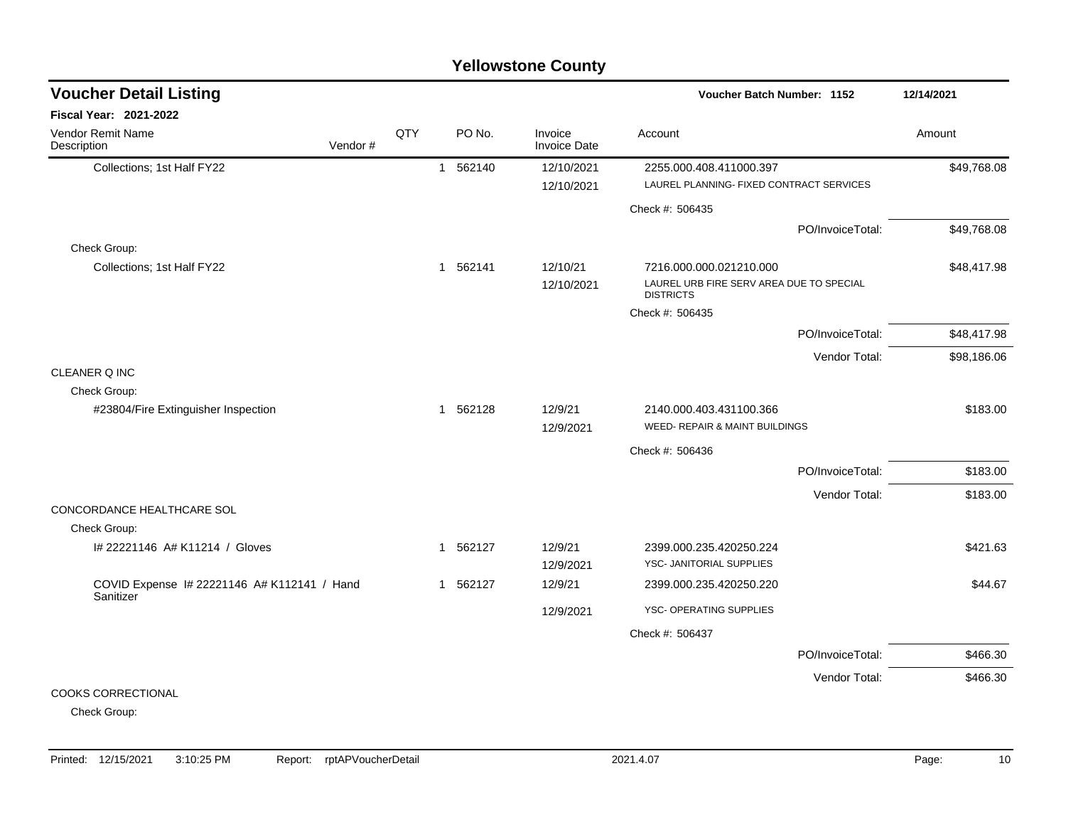| <b>Voucher Detail Listing</b>                            |         |     |              |          |                                | Voucher Batch Number: 1152                                                              |                  | 12/14/2021  |
|----------------------------------------------------------|---------|-----|--------------|----------|--------------------------------|-----------------------------------------------------------------------------------------|------------------|-------------|
| Fiscal Year: 2021-2022                                   |         |     |              |          |                                |                                                                                         |                  |             |
| Vendor Remit Name<br>Description                         | Vendor# | QTY |              | PO No.   | Invoice<br><b>Invoice Date</b> | Account                                                                                 |                  | Amount      |
| Collections; 1st Half FY22                               |         |     | $\mathbf{1}$ | 562140   | 12/10/2021<br>12/10/2021       | 2255.000.408.411000.397<br>LAUREL PLANNING- FIXED CONTRACT SERVICES                     |                  | \$49,768.08 |
|                                                          |         |     |              |          |                                | Check #: 506435                                                                         |                  |             |
|                                                          |         |     |              |          |                                |                                                                                         | PO/InvoiceTotal: | \$49,768.08 |
| Check Group:                                             |         |     |              |          |                                |                                                                                         |                  |             |
| Collections; 1st Half FY22                               |         |     |              | 1 562141 | 12/10/21<br>12/10/2021         | 7216.000.000.021210.000<br>LAUREL URB FIRE SERV AREA DUE TO SPECIAL<br><b>DISTRICTS</b> |                  | \$48,417.98 |
|                                                          |         |     |              |          |                                | Check #: 506435                                                                         |                  |             |
|                                                          |         |     |              |          |                                |                                                                                         | PO/InvoiceTotal: | \$48,417.98 |
|                                                          |         |     |              |          |                                |                                                                                         | Vendor Total:    | \$98,186.06 |
| CLEANER Q INC                                            |         |     |              |          |                                |                                                                                         |                  |             |
| Check Group:                                             |         |     |              |          |                                |                                                                                         |                  |             |
| #23804/Fire Extinguisher Inspection                      |         |     |              | 1 562128 | 12/9/21<br>12/9/2021           | 2140.000.403.431100.366<br>WEED- REPAIR & MAINT BUILDINGS                               |                  | \$183.00    |
|                                                          |         |     |              |          |                                | Check #: 506436                                                                         |                  |             |
|                                                          |         |     |              |          |                                |                                                                                         | PO/InvoiceTotal: | \$183.00    |
|                                                          |         |     |              |          |                                |                                                                                         | Vendor Total:    | \$183.00    |
| CONCORDANCE HEALTHCARE SOL                               |         |     |              |          |                                |                                                                                         |                  |             |
| Check Group:                                             |         |     |              |          |                                |                                                                                         |                  |             |
| I# 22221146 A# K11214 / Gloves                           |         |     | $\mathbf 1$  | 562127   | 12/9/21                        | 2399.000.235.420250.224                                                                 |                  | \$421.63    |
|                                                          |         |     |              |          | 12/9/2021                      | YSC- JANITORIAL SUPPLIES                                                                |                  |             |
| COVID Expense I# 22221146 A# K112141 / Hand<br>Sanitizer |         |     | $\mathbf{1}$ | 562127   | 12/9/21                        | 2399.000.235.420250.220                                                                 |                  | \$44.67     |
|                                                          |         |     |              |          | 12/9/2021                      | YSC- OPERATING SUPPLIES                                                                 |                  |             |
|                                                          |         |     |              |          |                                | Check #: 506437                                                                         |                  |             |
|                                                          |         |     |              |          |                                |                                                                                         | PO/InvoiceTotal: | \$466.30    |
|                                                          |         |     |              |          |                                |                                                                                         | Vendor Total:    | \$466.30    |
| <b>COOKS CORRECTIONAL</b>                                |         |     |              |          |                                |                                                                                         |                  |             |

Check Group: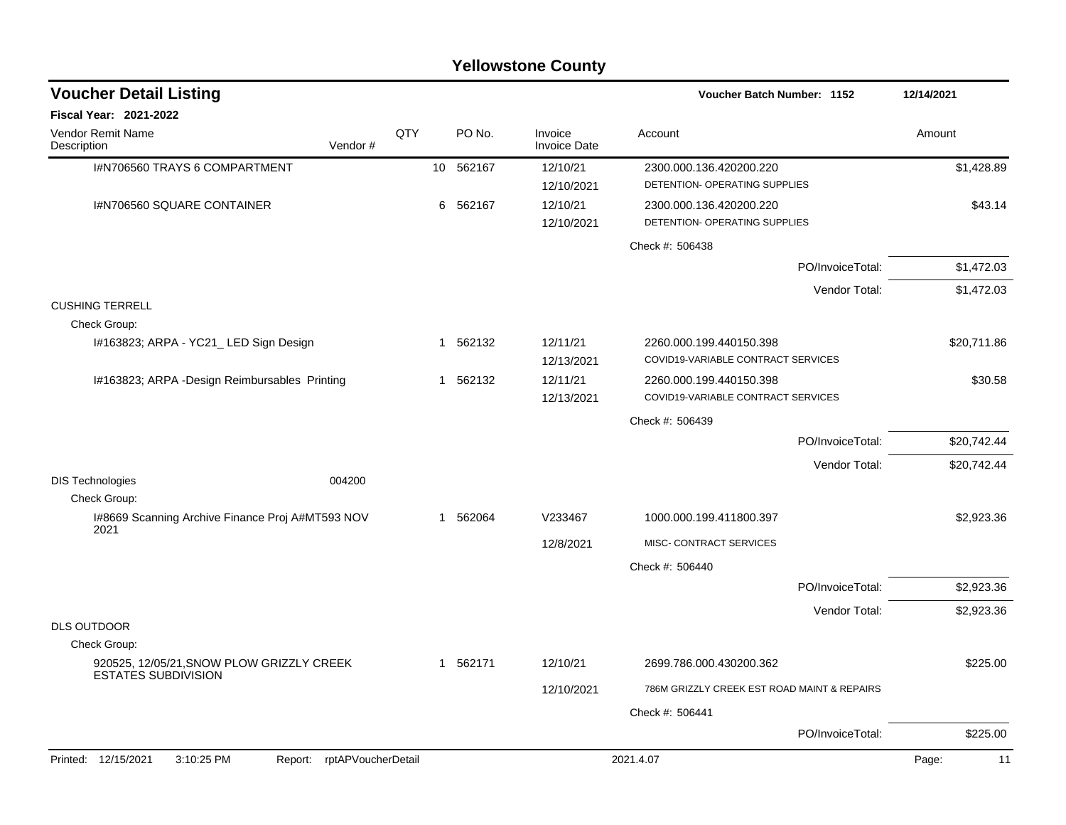|                                                                         |                               |     |              | <b>Yellowstone County</b>      |                                                               |                  |             |
|-------------------------------------------------------------------------|-------------------------------|-----|--------------|--------------------------------|---------------------------------------------------------------|------------------|-------------|
| <b>Voucher Detail Listing</b>                                           |                               |     |              |                                | Voucher Batch Number: 1152                                    |                  | 12/14/2021  |
| Fiscal Year: 2021-2022                                                  |                               |     |              |                                |                                                               |                  |             |
| Vendor Remit Name<br>Description                                        | Vendor #                      | QTY | PO No.       | Invoice<br><b>Invoice Date</b> | Account                                                       |                  | Amount      |
| I#N706560 TRAYS 6 COMPARTMENT                                           |                               |     | 10 562167    | 12/10/21<br>12/10/2021         | 2300.000.136.420200.220<br>DETENTION- OPERATING SUPPLIES      |                  | \$1,428.89  |
| I#N706560 SQUARE CONTAINER                                              |                               |     | 6<br>562167  | 12/10/21<br>12/10/2021         | 2300.000.136.420200.220<br>DETENTION- OPERATING SUPPLIES      |                  | \$43.14     |
|                                                                         |                               |     |              |                                | Check #: 506438                                               |                  |             |
|                                                                         |                               |     |              |                                |                                                               | PO/InvoiceTotal: | \$1,472.03  |
|                                                                         |                               |     |              |                                |                                                               | Vendor Total:    | \$1,472.03  |
| <b>CUSHING TERRELL</b><br>Check Group:                                  |                               |     |              |                                |                                                               |                  |             |
| I#163823; ARPA - YC21_LED Sign Design                                   |                               |     | 562132<br>-1 | 12/11/21<br>12/13/2021         | 2260.000.199.440150.398<br>COVID19-VARIABLE CONTRACT SERVICES |                  | \$20,711.86 |
| I#163823; ARPA -Design Reimbursables Printing                           |                               |     | 1 562132     | 12/11/21<br>12/13/2021         | 2260.000.199.440150.398<br>COVID19-VARIABLE CONTRACT SERVICES |                  | \$30.58     |
|                                                                         |                               |     |              |                                | Check #: 506439                                               |                  |             |
|                                                                         |                               |     |              |                                |                                                               | PO/InvoiceTotal: | \$20,742.44 |
|                                                                         |                               |     |              |                                |                                                               | Vendor Total:    | \$20,742.44 |
| <b>DIS Technologies</b>                                                 | 004200                        |     |              |                                |                                                               |                  |             |
| Check Group:<br>I#8669 Scanning Archive Finance Proj A#MT593 NOV        |                               |     | 562064<br>-1 | V233467                        | 1000.000.199.411800.397                                       |                  | \$2,923.36  |
| 2021                                                                    |                               |     |              | 12/8/2021                      | MISC- CONTRACT SERVICES                                       |                  |             |
|                                                                         |                               |     |              |                                | Check #: 506440                                               |                  |             |
|                                                                         |                               |     |              |                                |                                                               | PO/InvoiceTotal: | \$2,923.36  |
|                                                                         |                               |     |              |                                |                                                               | Vendor Total:    | \$2,923.36  |
| <b>DLS OUTDOOR</b>                                                      |                               |     |              |                                |                                                               |                  |             |
| Check Group:                                                            |                               |     |              |                                |                                                               |                  |             |
| 920525, 12/05/21, SNOW PLOW GRIZZLY CREEK<br><b>ESTATES SUBDIVISION</b> |                               |     | 1 562171     | 12/10/21                       | 2699.786.000.430200.362                                       |                  | \$225.00    |
|                                                                         |                               |     |              | 12/10/2021                     | 786M GRIZZLY CREEK EST ROAD MAINT & REPAIRS                   |                  |             |
|                                                                         |                               |     |              |                                | Check #: 506441                                               |                  |             |
|                                                                         |                               |     |              |                                |                                                               | PO/InvoiceTotal: | \$225.00    |
| Printed: 12/15/2021<br>3:10:25 PM                                       | rptAPVoucherDetail<br>Report: |     |              |                                | 2021.4.07                                                     |                  | Page:<br>11 |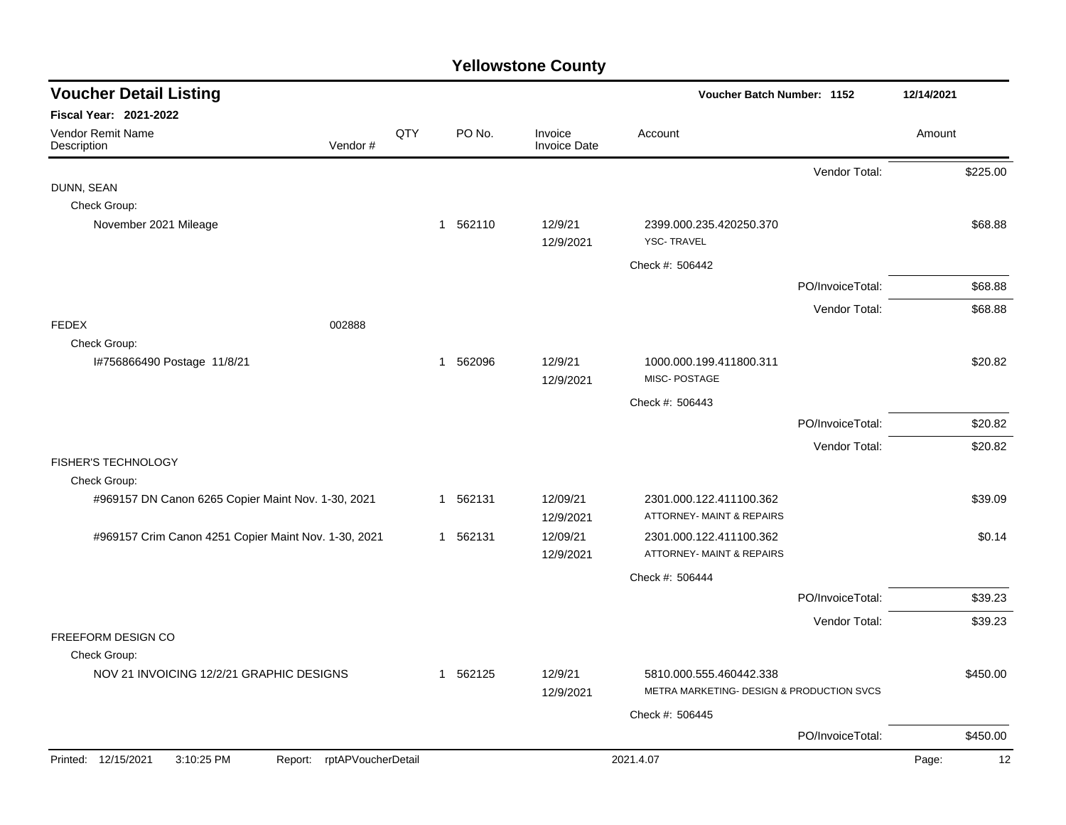| <b>Voucher Detail Listing</b>                                                |     |                        |                                | Voucher Batch Number: 1152                                      |                  | 12/14/2021  |
|------------------------------------------------------------------------------|-----|------------------------|--------------------------------|-----------------------------------------------------------------|------------------|-------------|
| <b>Fiscal Year: 2021-2022</b><br>Vendor Remit Name<br>Vendor#<br>Description | QTY | PO No.                 | Invoice<br><b>Invoice Date</b> | Account                                                         |                  | Amount      |
|                                                                              |     |                        |                                |                                                                 | Vendor Total:    | \$225.00    |
| DUNN, SEAN                                                                   |     |                        |                                |                                                                 |                  |             |
| Check Group:<br>November 2021 Mileage                                        |     | 1 562110               | 12/9/21                        | 2399.000.235.420250.370                                         |                  | \$68.88     |
|                                                                              |     |                        | 12/9/2021                      | <b>YSC-TRAVEL</b>                                               |                  |             |
|                                                                              |     |                        |                                | Check #: 506442                                                 |                  |             |
|                                                                              |     |                        |                                |                                                                 | PO/InvoiceTotal: | \$68.88     |
|                                                                              |     |                        |                                |                                                                 | Vendor Total:    | \$68.88     |
| <b>FEDEX</b><br>002888                                                       |     |                        |                                |                                                                 |                  |             |
| Check Group:<br>I#756866490 Postage 11/8/21                                  |     | 562096<br>$\mathbf{1}$ | 12/9/21                        | 1000.000.199.411800.311                                         |                  | \$20.82     |
|                                                                              |     |                        | 12/9/2021                      | MISC-POSTAGE                                                    |                  |             |
|                                                                              |     |                        |                                | Check #: 506443                                                 |                  |             |
|                                                                              |     |                        |                                |                                                                 | PO/InvoiceTotal: | \$20.82     |
|                                                                              |     |                        |                                |                                                                 | Vendor Total:    | \$20.82     |
| FISHER'S TECHNOLOGY                                                          |     |                        |                                |                                                                 |                  |             |
| Check Group:                                                                 |     |                        |                                |                                                                 |                  |             |
| #969157 DN Canon 6265 Copier Maint Nov. 1-30, 2021                           |     | 562131<br>1            | 12/09/21<br>12/9/2021          | 2301.000.122.411100.362<br><b>ATTORNEY- MAINT &amp; REPAIRS</b> |                  | \$39.09     |
| #969157 Crim Canon 4251 Copier Maint Nov. 1-30, 2021                         |     | 1 562131               | 12/09/21                       | 2301.000.122.411100.362                                         |                  | \$0.14      |
|                                                                              |     |                        | 12/9/2021                      | ATTORNEY- MAINT & REPAIRS                                       |                  |             |
|                                                                              |     |                        |                                | Check #: 506444                                                 |                  |             |
|                                                                              |     |                        |                                |                                                                 | PO/InvoiceTotal: | \$39.23     |
|                                                                              |     |                        |                                |                                                                 | Vendor Total:    | \$39.23     |
| FREEFORM DESIGN CO<br>Check Group:                                           |     |                        |                                |                                                                 |                  |             |
| NOV 21 INVOICING 12/2/21 GRAPHIC DESIGNS                                     |     | 562125<br>$\mathbf{1}$ | 12/9/21                        | 5810.000.555.460442.338                                         |                  | \$450.00    |
|                                                                              |     |                        | 12/9/2021                      | METRA MARKETING- DESIGN & PRODUCTION SVCS                       |                  |             |
|                                                                              |     |                        |                                | Check #: 506445                                                 |                  |             |
|                                                                              |     |                        |                                |                                                                 | PO/InvoiceTotal: | \$450.00    |
| Printed: 12/15/2021<br>3:10:25 PM<br>Report: rptAPVoucherDetail              |     |                        |                                | 2021.4.07                                                       |                  | Page:<br>12 |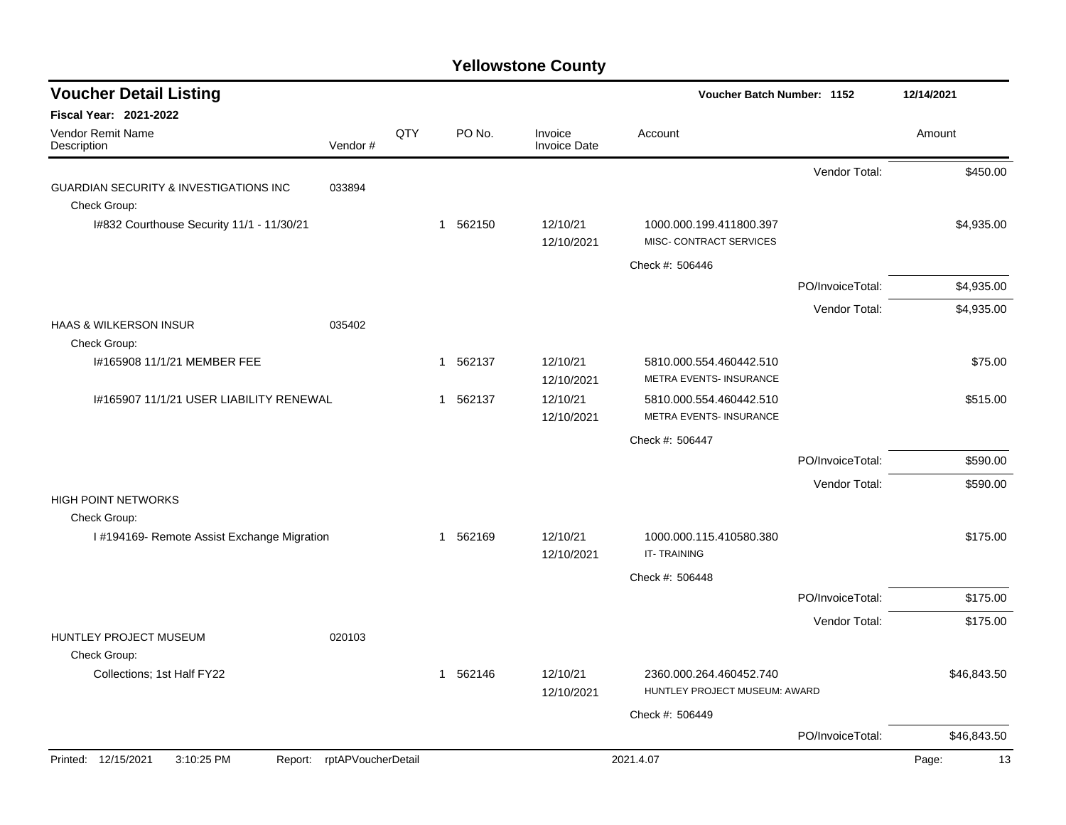| <b>Voucher Detail Listing</b>                     |                            |     |          |                                | Voucher Batch Number: 1152                               |                  | 12/14/2021  |
|---------------------------------------------------|----------------------------|-----|----------|--------------------------------|----------------------------------------------------------|------------------|-------------|
| <b>Fiscal Year: 2021-2022</b>                     |                            |     |          |                                |                                                          |                  |             |
| Vendor Remit Name<br>Description                  | Vendor#                    | QTY | PO No.   | Invoice<br><b>Invoice Date</b> | Account                                                  |                  | Amount      |
|                                                   |                            |     |          |                                |                                                          | Vendor Total:    | \$450.00    |
| <b>GUARDIAN SECURITY &amp; INVESTIGATIONS INC</b> | 033894                     |     |          |                                |                                                          |                  |             |
| Check Group:                                      |                            |     |          |                                |                                                          |                  |             |
| I#832 Courthouse Security 11/1 - 11/30/21         |                            |     | 1 562150 | 12/10/21<br>12/10/2021         | 1000.000.199.411800.397<br>MISC- CONTRACT SERVICES       |                  | \$4,935.00  |
|                                                   |                            |     |          |                                | Check #: 506446                                          |                  |             |
|                                                   |                            |     |          |                                |                                                          | PO/InvoiceTotal: | \$4,935.00  |
|                                                   |                            |     |          |                                |                                                          | Vendor Total:    | \$4,935.00  |
| <b>HAAS &amp; WILKERSON INSUR</b>                 | 035402                     |     |          |                                |                                                          |                  |             |
| Check Group:                                      |                            |     |          |                                |                                                          |                  |             |
| I#165908 11/1/21 MEMBER FEE                       |                            |     | 1 562137 | 12/10/21                       | 5810.000.554.460442.510                                  |                  | \$75.00     |
|                                                   |                            |     |          | 12/10/2021                     | METRA EVENTS- INSURANCE                                  |                  |             |
| 1#165907 11/1/21 USER LIABILITY RENEWAL           |                            |     | 1 562137 | 12/10/21<br>12/10/2021         | 5810.000.554.460442.510<br>METRA EVENTS- INSURANCE       |                  | \$515.00    |
|                                                   |                            |     |          |                                | Check #: 506447                                          |                  |             |
|                                                   |                            |     |          |                                |                                                          | PO/InvoiceTotal: | \$590.00    |
|                                                   |                            |     |          |                                |                                                          |                  |             |
| HIGH POINT NETWORKS                               |                            |     |          |                                |                                                          | Vendor Total:    | \$590.00    |
| Check Group:                                      |                            |     |          |                                |                                                          |                  |             |
| I #194169- Remote Assist Exchange Migration       |                            |     | 1 562169 | 12/10/21<br>12/10/2021         | 1000.000.115.410580.380<br><b>IT-TRAINING</b>            |                  | \$175.00    |
|                                                   |                            |     |          |                                | Check #: 506448                                          |                  |             |
|                                                   |                            |     |          |                                |                                                          | PO/InvoiceTotal: | \$175.00    |
|                                                   |                            |     |          |                                |                                                          | Vendor Total:    | \$175.00    |
| <b>HUNTLEY PROJECT MUSEUM</b><br>Check Group:     | 020103                     |     |          |                                |                                                          |                  |             |
| Collections; 1st Half FY22                        |                            |     | 1 562146 | 12/10/21<br>12/10/2021         | 2360.000.264.460452.740<br>HUNTLEY PROJECT MUSEUM: AWARD |                  | \$46,843.50 |
|                                                   |                            |     |          |                                | Check #: 506449                                          |                  |             |
|                                                   |                            |     |          |                                |                                                          | PO/InvoiceTotal: | \$46,843.50 |
| Printed: 12/15/2021<br>3:10:25 PM                 | Report: rptAPVoucherDetail |     |          |                                | 2021.4.07                                                |                  | 13<br>Page: |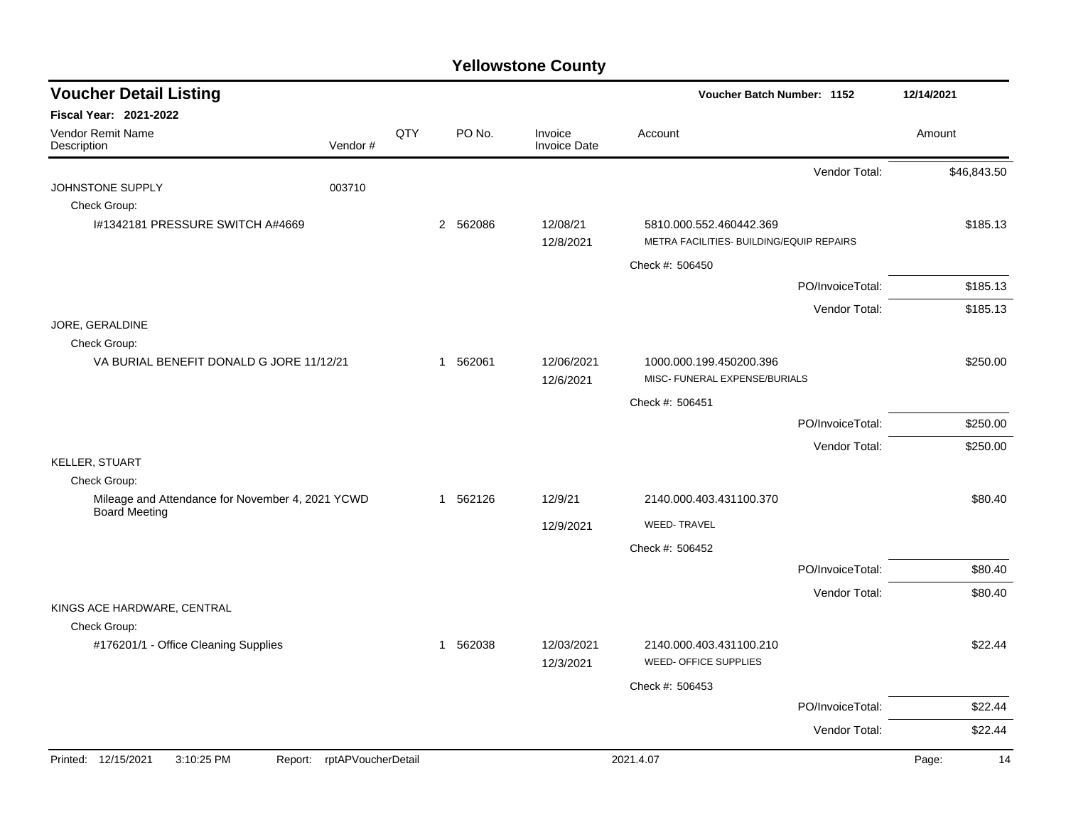| <b>Voucher Detail Listing</b>                                     |                            |     |          |                                | Voucher Batch Number: 1152                                          |                  | 12/14/2021  |
|-------------------------------------------------------------------|----------------------------|-----|----------|--------------------------------|---------------------------------------------------------------------|------------------|-------------|
| Fiscal Year: 2021-2022                                            |                            |     |          |                                |                                                                     |                  |             |
| Vendor Remit Name<br>Description                                  | Vendor#                    | QTY | PO No.   | Invoice<br><b>Invoice Date</b> | Account                                                             |                  | Amount      |
|                                                                   |                            |     |          |                                |                                                                     | Vendor Total:    | \$46,843.50 |
| JOHNSTONE SUPPLY                                                  | 003710                     |     |          |                                |                                                                     |                  |             |
| Check Group:                                                      |                            |     |          |                                |                                                                     |                  |             |
| 1#1342181 PRESSURE SWITCH A#4669                                  |                            |     | 2 562086 | 12/08/21<br>12/8/2021          | 5810.000.552.460442.369<br>METRA FACILITIES- BUILDING/EQUIP REPAIRS |                  | \$185.13    |
|                                                                   |                            |     |          |                                | Check #: 506450                                                     |                  |             |
|                                                                   |                            |     |          |                                |                                                                     | PO/InvoiceTotal: | \$185.13    |
|                                                                   |                            |     |          |                                |                                                                     | Vendor Total:    | \$185.13    |
| JORE, GERALDINE                                                   |                            |     |          |                                |                                                                     |                  |             |
| Check Group:<br>VA BURIAL BENEFIT DONALD G JORE 11/12/21          |                            |     | 1 562061 | 12/06/2021                     | 1000.000.199.450200.396                                             |                  | \$250.00    |
|                                                                   |                            |     |          | 12/6/2021                      | MISC- FUNERAL EXPENSE/BURIALS                                       |                  |             |
|                                                                   |                            |     |          |                                | Check #: 506451                                                     |                  |             |
|                                                                   |                            |     |          |                                |                                                                     | PO/InvoiceTotal: | \$250.00    |
|                                                                   |                            |     |          |                                |                                                                     | Vendor Total:    | \$250.00    |
| <b>KELLER, STUART</b>                                             |                            |     |          |                                |                                                                     |                  |             |
| Check Group:                                                      |                            |     |          |                                |                                                                     |                  |             |
| Mileage and Attendance for November 4, 2021 YCWD<br>Board Meeting |                            |     | 1 562126 | 12/9/21                        | 2140.000.403.431100.370                                             |                  | \$80.40     |
|                                                                   |                            |     |          | 12/9/2021                      | <b>WEED-TRAVEL</b>                                                  |                  |             |
|                                                                   |                            |     |          |                                | Check #: 506452                                                     |                  |             |
|                                                                   |                            |     |          |                                |                                                                     | PO/InvoiceTotal: | \$80.40     |
|                                                                   |                            |     |          |                                |                                                                     | Vendor Total:    | \$80.40     |
| KINGS ACE HARDWARE, CENTRAL                                       |                            |     |          |                                |                                                                     |                  |             |
| Check Group:                                                      |                            |     |          |                                |                                                                     |                  |             |
| #176201/1 - Office Cleaning Supplies                              |                            |     | 1 562038 | 12/03/2021<br>12/3/2021        | 2140.000.403.431100.210<br><b>WEED- OFFICE SUPPLIES</b>             |                  | \$22.44     |
|                                                                   |                            |     |          |                                | Check #: 506453                                                     |                  |             |
|                                                                   |                            |     |          |                                |                                                                     | PO/InvoiceTotal: | \$22.44     |
|                                                                   |                            |     |          |                                |                                                                     | Vendor Total:    | \$22.44     |
| Printed: 12/15/2021<br>3:10:25 PM                                 | Report: rptAPVoucherDetail |     |          |                                | 2021.4.07                                                           |                  | Page:<br>14 |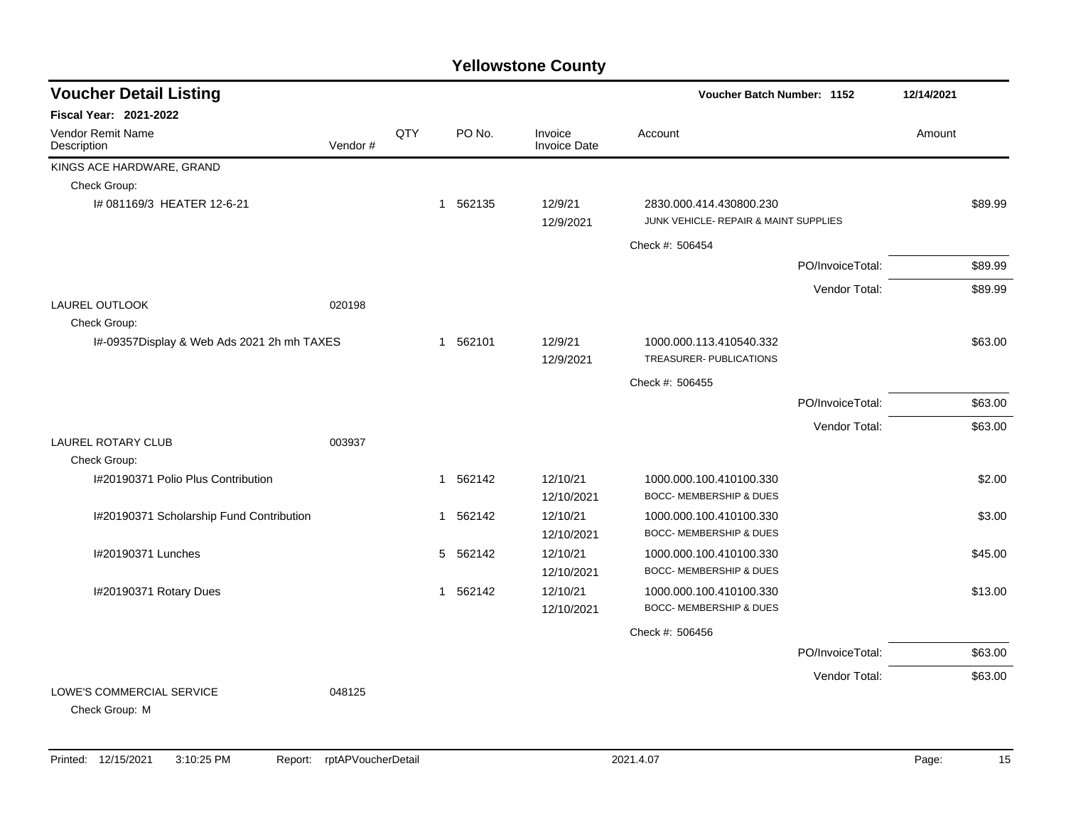| <b>Voucher Detail Listing</b>               |         |     |                        |                                | Voucher Batch Number: 1152                                       |                  | 12/14/2021 |         |
|---------------------------------------------|---------|-----|------------------------|--------------------------------|------------------------------------------------------------------|------------------|------------|---------|
| Fiscal Year: 2021-2022                      |         |     |                        |                                |                                                                  |                  |            |         |
| <b>Vendor Remit Name</b><br>Description     | Vendor# | QTY | PO No.                 | Invoice<br><b>Invoice Date</b> | Account                                                          |                  | Amount     |         |
| KINGS ACE HARDWARE, GRAND                   |         |     |                        |                                |                                                                  |                  |            |         |
| Check Group:                                |         |     |                        |                                |                                                                  |                  |            |         |
| I# 081169/3 HEATER 12-6-21                  |         |     | 562135<br>-1           | 12/9/21<br>12/9/2021           | 2830.000.414.430800.230<br>JUNK VEHICLE- REPAIR & MAINT SUPPLIES |                  |            | \$89.99 |
|                                             |         |     |                        |                                | Check #: 506454                                                  |                  |            |         |
|                                             |         |     |                        |                                |                                                                  | PO/InvoiceTotal: |            | \$89.99 |
|                                             |         |     |                        |                                |                                                                  | Vendor Total:    |            | \$89.99 |
| <b>LAUREL OUTLOOK</b><br>Check Group:       | 020198  |     |                        |                                |                                                                  |                  |            |         |
| I#-09357Display & Web Ads 2021 2h mh TAXES  |         |     | 1 562101               | 12/9/21<br>12/9/2021           | 1000.000.113.410540.332<br>TREASURER- PUBLICATIONS               |                  |            | \$63.00 |
|                                             |         |     |                        |                                | Check #: 506455                                                  |                  |            |         |
|                                             |         |     |                        |                                |                                                                  | PO/InvoiceTotal: |            | \$63.00 |
|                                             |         |     |                        |                                |                                                                  | Vendor Total:    |            | \$63.00 |
| <b>LAUREL ROTARY CLUB</b>                   | 003937  |     |                        |                                |                                                                  |                  |            |         |
| Check Group:                                |         |     |                        |                                |                                                                  |                  |            |         |
| I#20190371 Polio Plus Contribution          |         |     | 562142<br>$\mathbf 1$  | 12/10/21<br>12/10/2021         | 1000.000.100.410100.330<br>BOCC- MEMBERSHIP & DUES               |                  |            | \$2.00  |
| I#20190371 Scholarship Fund Contribution    |         |     | 1 562142               | 12/10/21<br>12/10/2021         | 1000.000.100.410100.330<br>BOCC- MEMBERSHIP & DUES               |                  |            | \$3.00  |
| I#20190371 Lunches                          |         |     | 5<br>562142            | 12/10/21<br>12/10/2021         | 1000.000.100.410100.330<br><b>BOCC- MEMBERSHIP &amp; DUES</b>    |                  |            | \$45.00 |
| I#20190371 Rotary Dues                      |         |     | 562142<br>$\mathbf{1}$ | 12/10/21<br>12/10/2021         | 1000.000.100.410100.330<br>BOCC- MEMBERSHIP & DUES               |                  |            | \$13.00 |
|                                             |         |     |                        |                                | Check #: 506456                                                  |                  |            |         |
|                                             |         |     |                        |                                |                                                                  | PO/InvoiceTotal: |            | \$63.00 |
|                                             |         |     |                        |                                |                                                                  | Vendor Total:    |            | \$63.00 |
| LOWE'S COMMERCIAL SERVICE<br>Check Group: M | 048125  |     |                        |                                |                                                                  |                  |            |         |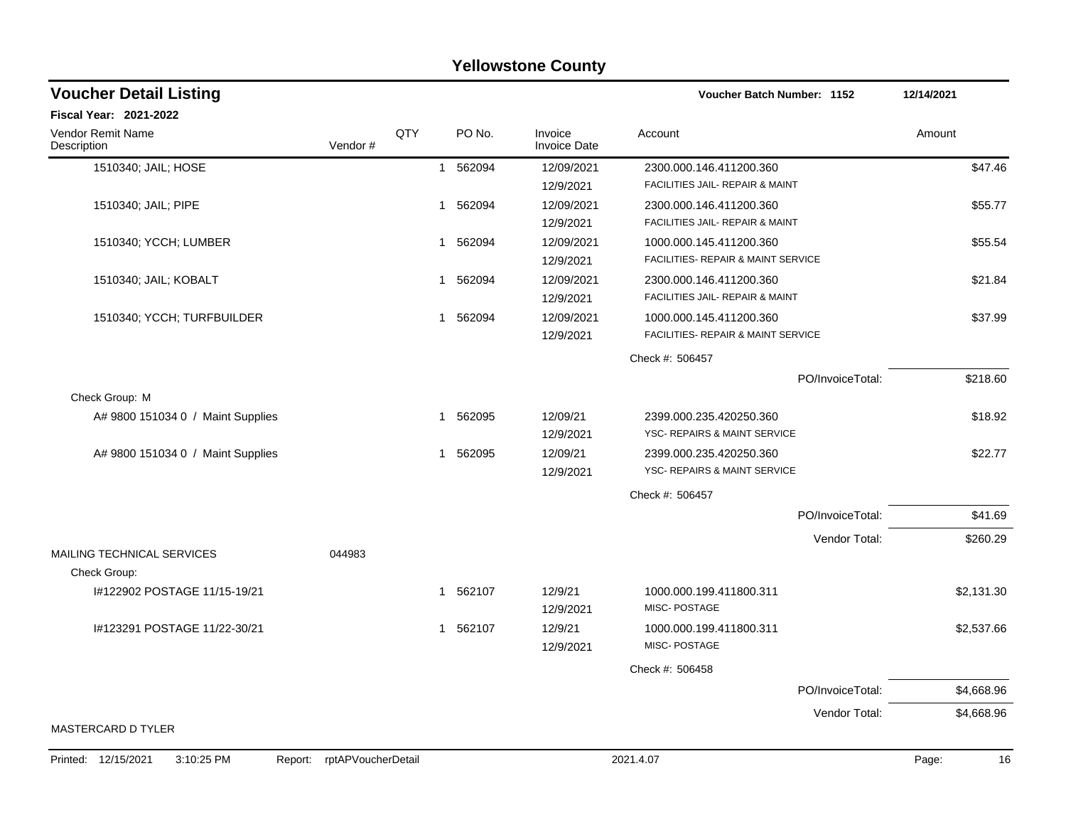|                                         |                            |     |          | <b>Yellowstone County</b>      |                                               |                  |             |
|-----------------------------------------|----------------------------|-----|----------|--------------------------------|-----------------------------------------------|------------------|-------------|
| <b>Voucher Detail Listing</b>           |                            |     |          |                                | Voucher Batch Number: 1152                    |                  | 12/14/2021  |
| <b>Fiscal Year: 2021-2022</b>           |                            |     |          |                                |                                               |                  |             |
| <b>Vendor Remit Name</b><br>Description | Vendor#                    | QTY | PO No.   | Invoice<br><b>Invoice Date</b> | Account                                       |                  | Amount      |
| 1510340; JAIL; HOSE                     |                            |     | 1 562094 | 12/09/2021                     | 2300.000.146.411200.360                       |                  | \$47.46     |
|                                         |                            |     |          | 12/9/2021                      | FACILITIES JAIL- REPAIR & MAINT               |                  |             |
| 1510340; JAIL; PIPE                     |                            | 1   | 562094   | 12/09/2021                     | 2300.000.146.411200.360                       |                  | \$55.77     |
|                                         |                            |     |          | 12/9/2021                      | FACILITIES JAIL- REPAIR & MAINT               |                  |             |
| 1510340; YCCH; LUMBER                   |                            | 1   | 562094   | 12/09/2021                     | 1000.000.145.411200.360                       |                  | \$55.54     |
|                                         |                            |     |          | 12/9/2021                      | <b>FACILITIES- REPAIR &amp; MAINT SERVICE</b> |                  |             |
| 1510340; JAIL; KOBALT                   |                            | 1   | 562094   | 12/09/2021                     | 2300.000.146.411200.360                       |                  | \$21.84     |
|                                         |                            |     |          | 12/9/2021                      | FACILITIES JAIL- REPAIR & MAINT               |                  |             |
| 1510340; YCCH; TURFBUILDER              |                            | 1   | 562094   | 12/09/2021                     | 1000.000.145.411200.360                       |                  | \$37.99     |
|                                         |                            |     |          | 12/9/2021                      | <b>FACILITIES- REPAIR &amp; MAINT SERVICE</b> |                  |             |
|                                         |                            |     |          |                                | Check #: 506457                               |                  |             |
|                                         |                            |     |          |                                |                                               | PO/InvoiceTotal: | \$218.60    |
| Check Group: M                          |                            |     |          |                                |                                               |                  |             |
| A# 9800 151034 0 / Maint Supplies       |                            | 1   | 562095   | 12/09/21                       | 2399.000.235.420250.360                       |                  | \$18.92     |
|                                         |                            |     |          | 12/9/2021                      | <b>YSC- REPAIRS &amp; MAINT SERVICE</b>       |                  |             |
| A# 9800 151034 0 / Maint Supplies       |                            | 1   | 562095   | 12/09/21                       | 2399.000.235.420250.360                       |                  | \$22.77     |
|                                         |                            |     |          | 12/9/2021                      | YSC- REPAIRS & MAINT SERVICE                  |                  |             |
|                                         |                            |     |          |                                | Check #: 506457                               |                  |             |
|                                         |                            |     |          |                                |                                               | PO/InvoiceTotal: | \$41.69     |
|                                         |                            |     |          |                                |                                               | Vendor Total:    | \$260.29    |
| MAILING TECHNICAL SERVICES              | 044983                     |     |          |                                |                                               |                  |             |
| Check Group:                            |                            |     |          |                                |                                               |                  |             |
| I#122902 POSTAGE 11/15-19/21            |                            | 1   | 562107   | 12/9/21                        | 1000.000.199.411800.311                       |                  | \$2,131.30  |
|                                         |                            |     |          | 12/9/2021                      | <b>MISC-POSTAGE</b>                           |                  |             |
| I#123291 POSTAGE 11/22-30/21            |                            |     | 1 562107 | 12/9/21                        | 1000.000.199.411800.311                       |                  | \$2,537.66  |
|                                         |                            |     |          | 12/9/2021                      | <b>MISC-POSTAGE</b>                           |                  |             |
|                                         |                            |     |          |                                | Check #: 506458                               |                  |             |
|                                         |                            |     |          |                                |                                               | PO/InvoiceTotal: | \$4,668.96  |
|                                         |                            |     |          |                                |                                               | Vendor Total:    | \$4,668.96  |
| MASTERCARD D TYLER                      |                            |     |          |                                |                                               |                  |             |
| 3:10:25 PM<br>Printed: 12/15/2021       | Report: rptAPVoucherDetail |     |          |                                | 2021.4.07                                     |                  | Page:<br>16 |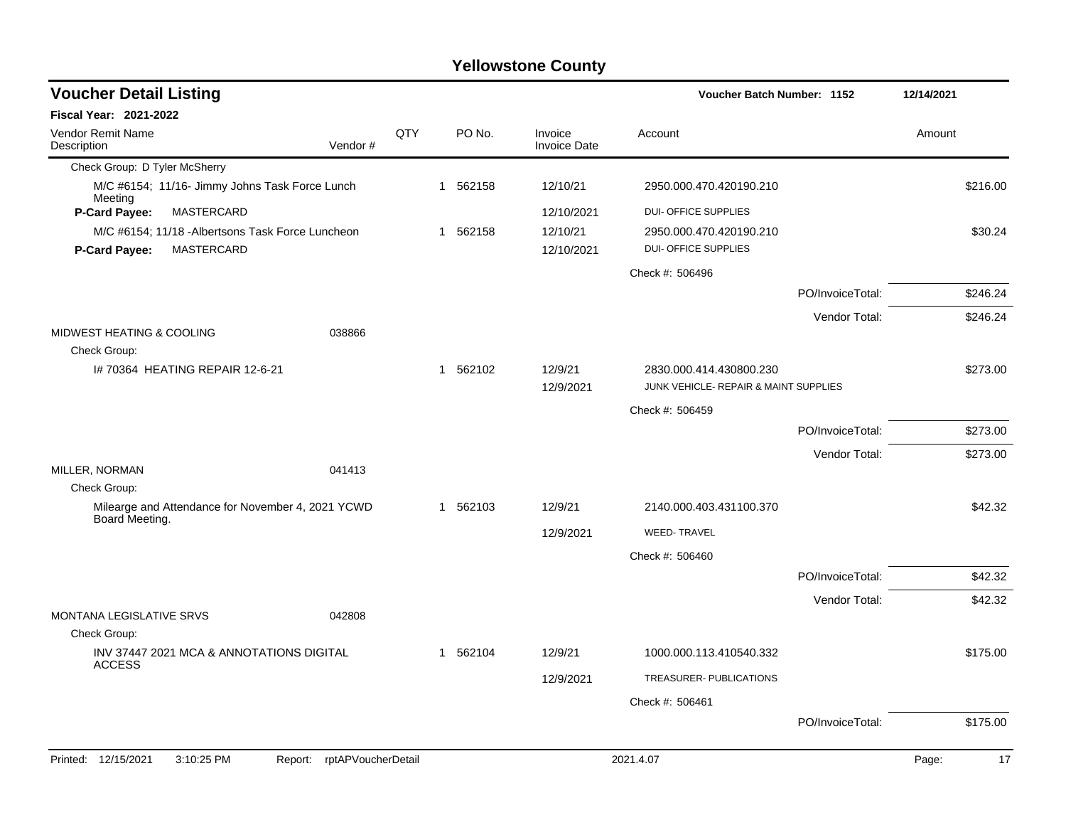| <b>Voucher Detail Listing</b>                                       |     |          |                                | Voucher Batch Number: 1152            |                  | 12/14/2021  |
|---------------------------------------------------------------------|-----|----------|--------------------------------|---------------------------------------|------------------|-------------|
| Fiscal Year: 2021-2022                                              |     |          |                                |                                       |                  |             |
| <b>Vendor Remit Name</b><br>Description<br>Vendor#                  | QTY | PO No.   | Invoice<br><b>Invoice Date</b> | Account                               |                  | Amount      |
| Check Group: D Tyler McSherry                                       |     |          |                                |                                       |                  |             |
| M/C #6154; 11/16- Jimmy Johns Task Force Lunch<br>Meeting           |     | 1 562158 | 12/10/21                       | 2950.000.470.420190.210               |                  | \$216.00    |
| P-Card Payee:<br>MASTERCARD                                         |     |          | 12/10/2021                     | <b>DUI- OFFICE SUPPLIES</b>           |                  |             |
| M/C #6154; 11/18 - Albertsons Task Force Luncheon                   |     | 1 562158 | 12/10/21                       | 2950.000.470.420190.210               |                  | \$30.24     |
| MASTERCARD<br><b>P-Card Payee:</b>                                  |     |          | 12/10/2021                     | <b>DUI- OFFICE SUPPLIES</b>           |                  |             |
|                                                                     |     |          |                                | Check #: 506496                       |                  |             |
|                                                                     |     |          |                                |                                       | PO/InvoiceTotal: | \$246.24    |
|                                                                     |     |          |                                |                                       | Vendor Total:    | \$246.24    |
| MIDWEST HEATING & COOLING<br>038866                                 |     |          |                                |                                       |                  |             |
| Check Group:<br>I# 70364 HEATING REPAIR 12-6-21                     |     | 1 562102 | 12/9/21                        | 2830.000.414.430800.230               |                  | \$273.00    |
|                                                                     |     |          | 12/9/2021                      | JUNK VEHICLE- REPAIR & MAINT SUPPLIES |                  |             |
|                                                                     |     |          |                                | Check #: 506459                       |                  |             |
|                                                                     |     |          |                                |                                       | PO/InvoiceTotal: | \$273.00    |
|                                                                     |     |          |                                |                                       | Vendor Total:    | \$273.00    |
| MILLER, NORMAN<br>041413                                            |     |          |                                |                                       |                  |             |
| Check Group:                                                        |     |          |                                |                                       |                  |             |
| Milearge and Attendance for November 4, 2021 YCWD<br>Board Meeting. |     | 1 562103 | 12/9/21                        | 2140.000.403.431100.370               |                  | \$42.32     |
|                                                                     |     |          | 12/9/2021                      | <b>WEED-TRAVEL</b>                    |                  |             |
|                                                                     |     |          |                                | Check #: 506460                       |                  |             |
|                                                                     |     |          |                                |                                       | PO/InvoiceTotal: | \$42.32     |
|                                                                     |     |          |                                |                                       | Vendor Total:    | \$42.32     |
| <b>MONTANA LEGISLATIVE SRVS</b><br>042808                           |     |          |                                |                                       |                  |             |
| Check Group:                                                        |     |          |                                |                                       |                  |             |
| INV 37447 2021 MCA & ANNOTATIONS DIGITAL<br><b>ACCESS</b>           |     | 1 562104 | 12/9/21                        | 1000.000.113.410540.332               |                  | \$175.00    |
|                                                                     |     |          | 12/9/2021                      | TREASURER- PUBLICATIONS               |                  |             |
|                                                                     |     |          |                                | Check #: 506461                       |                  |             |
|                                                                     |     |          |                                |                                       | PO/InvoiceTotal: | \$175.00    |
| Printed: 12/15/2021<br>3:10:25 PM<br>rptAPVoucherDetail<br>Report:  |     |          |                                | 2021.4.07                             |                  | Page:<br>17 |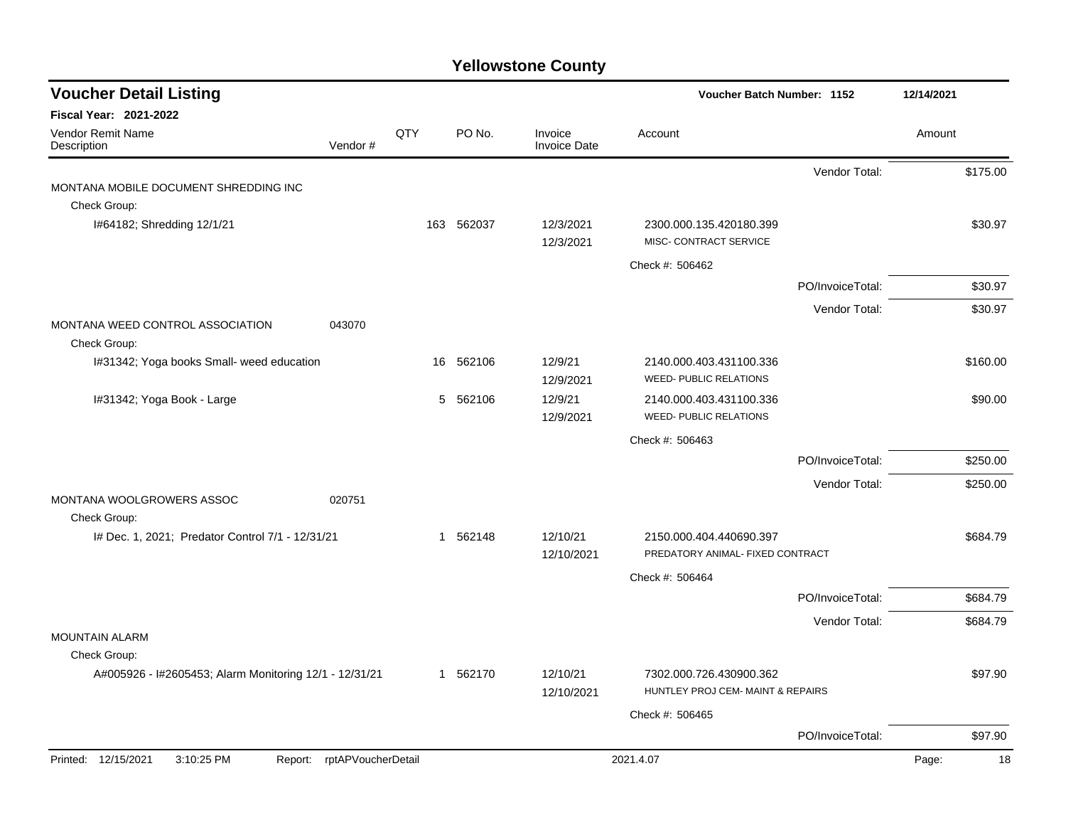| <b>Voucher Detail Listing</b>                                     |         |     |            |                                | Voucher Batch Number: 1152                                   |                  | 12/14/2021  |
|-------------------------------------------------------------------|---------|-----|------------|--------------------------------|--------------------------------------------------------------|------------------|-------------|
| <b>Fiscal Year: 2021-2022</b><br>Vendor Remit Name<br>Description | Vendor# | QTY | PO No.     | Invoice<br><b>Invoice Date</b> | Account                                                      |                  | Amount      |
|                                                                   |         |     |            |                                |                                                              | Vendor Total:    | \$175.00    |
| MONTANA MOBILE DOCUMENT SHREDDING INC                             |         |     |            |                                |                                                              |                  |             |
| Check Group:                                                      |         |     |            |                                |                                                              |                  |             |
| I#64182; Shredding 12/1/21                                        |         |     | 163 562037 | 12/3/2021<br>12/3/2021         | 2300.000.135.420180.399<br>MISC- CONTRACT SERVICE            |                  | \$30.97     |
|                                                                   |         |     |            |                                | Check #: 506462                                              |                  |             |
|                                                                   |         |     |            |                                |                                                              | PO/InvoiceTotal: | \$30.97     |
|                                                                   |         |     |            |                                |                                                              | Vendor Total:    | \$30.97     |
| MONTANA WEED CONTROL ASSOCIATION<br>Check Group:                  | 043070  |     |            |                                |                                                              |                  |             |
| I#31342; Yoga books Small- weed education                         |         | 16  | 562106     | 12/9/21                        | 2140.000.403.431100.336                                      |                  | \$160.00    |
|                                                                   |         |     |            | 12/9/2021                      | <b>WEED- PUBLIC RELATIONS</b>                                |                  |             |
| I#31342; Yoga Book - Large                                        |         |     | 5 562106   | 12/9/21<br>12/9/2021           | 2140.000.403.431100.336<br><b>WEED- PUBLIC RELATIONS</b>     |                  | \$90.00     |
|                                                                   |         |     |            |                                | Check #: 506463                                              |                  |             |
|                                                                   |         |     |            |                                |                                                              | PO/InvoiceTotal: | \$250.00    |
|                                                                   |         |     |            |                                |                                                              | Vendor Total:    | \$250.00    |
| MONTANA WOOLGROWERS ASSOC<br>Check Group:                         | 020751  |     |            |                                |                                                              |                  |             |
| I# Dec. 1, 2021; Predator Control 7/1 - 12/31/21                  |         |     | 1 562148   | 12/10/21<br>12/10/2021         | 2150.000.404.440690.397<br>PREDATORY ANIMAL- FIXED CONTRACT  |                  | \$684.79    |
|                                                                   |         |     |            |                                | Check #: 506464                                              |                  |             |
|                                                                   |         |     |            |                                |                                                              | PO/InvoiceTotal: | \$684.79    |
|                                                                   |         |     |            |                                |                                                              | Vendor Total:    | \$684.79    |
| <b>MOUNTAIN ALARM</b>                                             |         |     |            |                                |                                                              |                  |             |
| Check Group:                                                      |         |     |            |                                |                                                              |                  |             |
| A#005926 - I#2605453; Alarm Monitoring 12/1 - 12/31/21            |         |     | 1 562170   | 12/10/21<br>12/10/2021         | 7302.000.726.430900.362<br>HUNTLEY PROJ CEM- MAINT & REPAIRS |                  | \$97.90     |
|                                                                   |         |     |            |                                | Check #: 506465                                              |                  |             |
|                                                                   |         |     |            |                                |                                                              | PO/InvoiceTotal: | \$97.90     |
| Printed: 12/15/2021<br>3:10:25 PM<br>Report: rptAPVoucherDetail   |         |     |            |                                | 2021.4.07                                                    |                  | Page:<br>18 |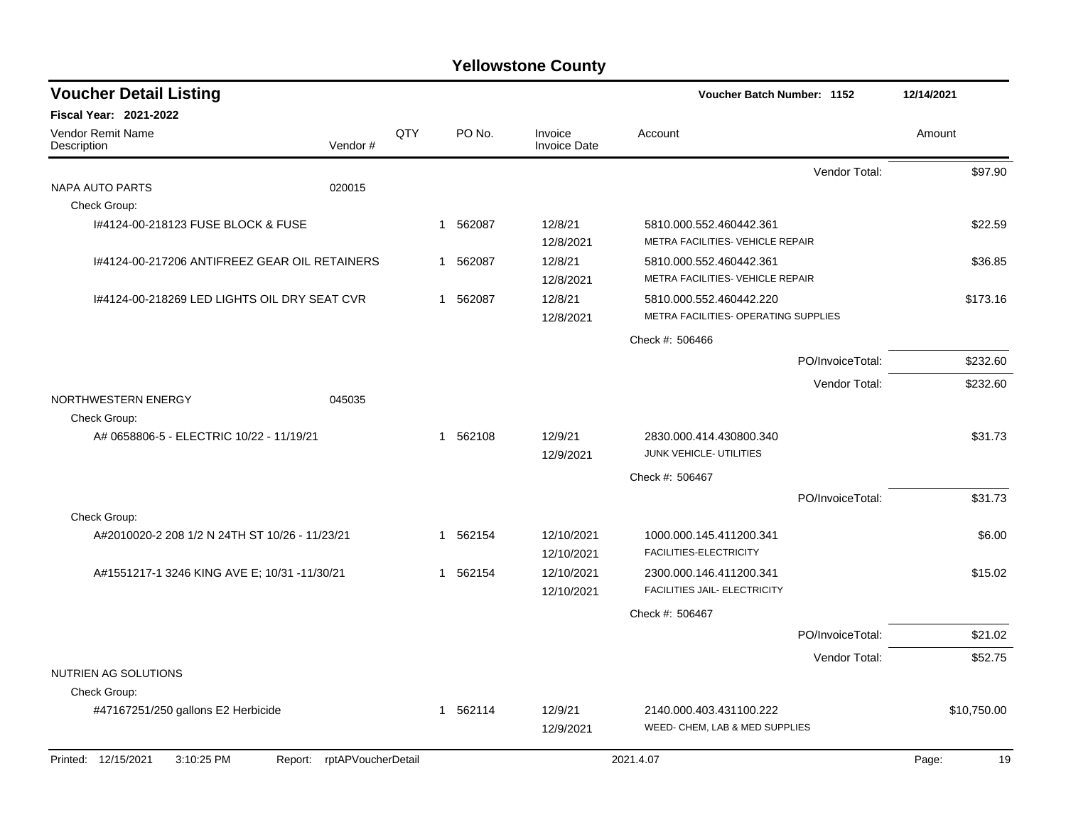| <b>Voucher Detail Listing</b>                  |                    |     |          |                                | Voucher Batch Number: 1152                                  |                  | 12/14/2021  |          |
|------------------------------------------------|--------------------|-----|----------|--------------------------------|-------------------------------------------------------------|------------------|-------------|----------|
| Fiscal Year: 2021-2022                         |                    |     |          |                                |                                                             |                  |             |          |
| Vendor Remit Name<br>Description               | Vendor#            | QTY | PO No.   | Invoice<br><b>Invoice Date</b> | Account                                                     |                  | Amount      |          |
|                                                |                    |     |          |                                |                                                             | Vendor Total:    |             | \$97.90  |
| NAPA AUTO PARTS                                | 020015             |     |          |                                |                                                             |                  |             |          |
| Check Group:                                   |                    |     |          |                                |                                                             |                  |             |          |
| 1#4124-00-218123 FUSE BLOCK & FUSE             |                    |     | 1 562087 | 12/8/21<br>12/8/2021           | 5810.000.552.460442.361<br>METRA FACILITIES- VEHICLE REPAIR |                  |             | \$22.59  |
| 1#4124-00-217206 ANTIFREEZ GEAR OIL RETAINERS  |                    |     | 1 562087 | 12/8/21<br>12/8/2021           | 5810.000.552.460442.361<br>METRA FACILITIES- VEHICLE REPAIR |                  |             | \$36.85  |
| 1#4124-00-218269 LED LIGHTS OIL DRY SEAT CVR   |                    |     | 1 562087 | 12/8/21                        | 5810.000.552.460442.220                                     |                  |             | \$173.16 |
|                                                |                    |     |          | 12/8/2021                      | METRA FACILITIES- OPERATING SUPPLIES                        |                  |             |          |
|                                                |                    |     |          |                                | Check #: 506466                                             |                  |             |          |
|                                                |                    |     |          |                                |                                                             | PO/InvoiceTotal: |             | \$232.60 |
|                                                |                    |     |          |                                |                                                             | Vendor Total:    |             | \$232.60 |
| NORTHWESTERN ENERGY<br>Check Group:            | 045035             |     |          |                                |                                                             |                  |             |          |
| A# 0658806-5 - ELECTRIC 10/22 - 11/19/21       |                    |     | 1 562108 | 12/9/21<br>12/9/2021           | 2830.000.414.430800.340<br>JUNK VEHICLE- UTILITIES          |                  |             | \$31.73  |
|                                                |                    |     |          |                                | Check #: 506467                                             |                  |             |          |
|                                                |                    |     |          |                                |                                                             | PO/InvoiceTotal: |             | \$31.73  |
| Check Group:                                   |                    |     |          |                                |                                                             |                  |             |          |
| A#2010020-2 208 1/2 N 24TH ST 10/26 - 11/23/21 |                    |     | 1 562154 | 12/10/2021<br>12/10/2021       | 1000.000.145.411200.341<br>FACILITIES-ELECTRICITY           |                  |             | \$6.00   |
| A#1551217-1 3246 KING AVE E; 10/31 -11/30/21   |                    |     | 1 562154 | 12/10/2021<br>12/10/2021       | 2300.000.146.411200.341<br>FACILITIES JAIL- ELECTRICITY     |                  |             | \$15.02  |
|                                                |                    |     |          |                                | Check #: 506467                                             |                  |             |          |
|                                                |                    |     |          |                                |                                                             | PO/InvoiceTotal: |             | \$21.02  |
|                                                |                    |     |          |                                |                                                             | Vendor Total:    |             | \$52.75  |
| NUTRIEN AG SOLUTIONS                           |                    |     |          |                                |                                                             |                  |             |          |
| Check Group:                                   |                    |     |          |                                |                                                             |                  |             |          |
| #47167251/250 gallons E2 Herbicide             |                    |     | 1 562114 | 12/9/21<br>12/9/2021           | 2140.000.403.431100.222<br>WEED- CHEM, LAB & MED SUPPLIES   |                  | \$10,750.00 |          |
| Printed: 12/15/2021<br>3:10:25 PM<br>Report:   | rptAPVoucherDetail |     |          |                                | 2021.4.07                                                   |                  | Page:       | 19       |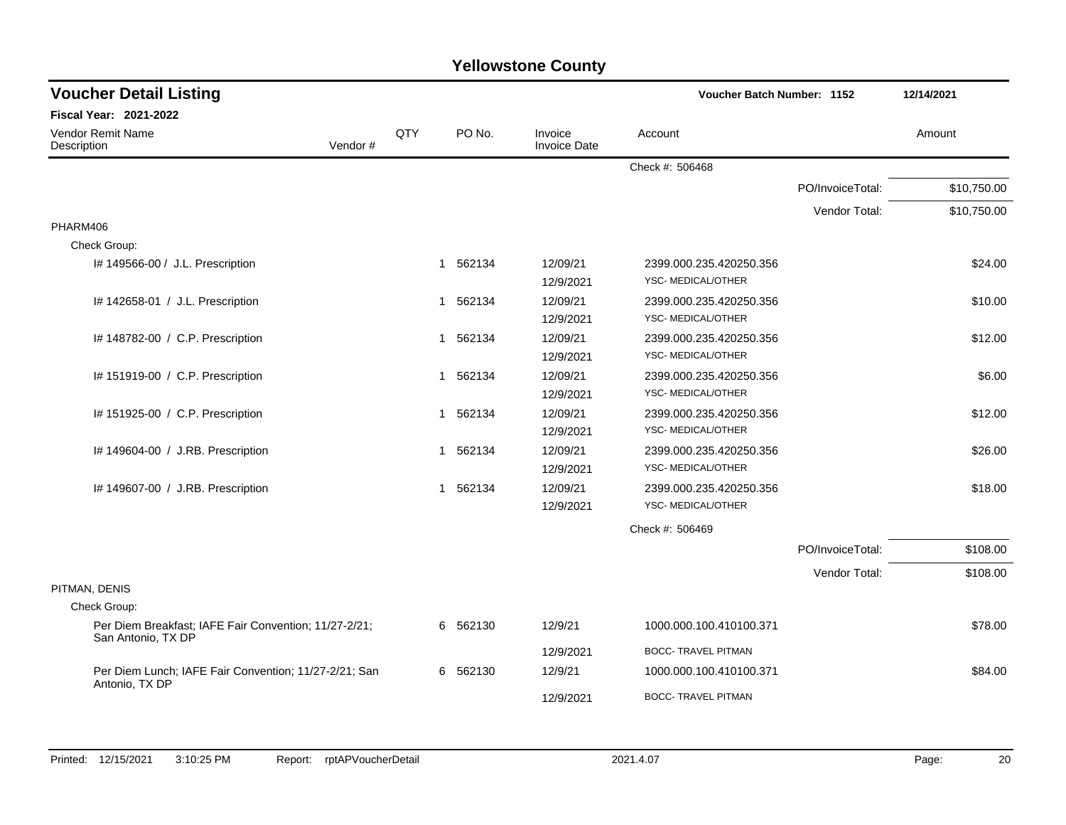| <b>Voucher Detail Listing</b>                                               |     |             |                                | <b>Voucher Batch Number: 1152</b> |                  | 12/14/2021  |  |
|-----------------------------------------------------------------------------|-----|-------------|--------------------------------|-----------------------------------|------------------|-------------|--|
| <b>Fiscal Year: 2021-2022</b>                                               |     |             |                                |                                   |                  |             |  |
| Vendor Remit Name<br>Description<br>Vendor#                                 | QTY | PO No.      | Invoice<br><b>Invoice Date</b> | Account                           |                  | Amount      |  |
|                                                                             |     |             |                                | Check #: 506468                   |                  |             |  |
|                                                                             |     |             |                                |                                   | PO/InvoiceTotal: | \$10,750.00 |  |
|                                                                             |     |             |                                |                                   | Vendor Total:    | \$10,750.00 |  |
| PHARM406                                                                    |     |             |                                |                                   |                  |             |  |
| Check Group:                                                                |     |             |                                |                                   |                  |             |  |
| I# 149566-00 / J.L. Prescription                                            |     | 1 562134    | 12/09/21                       | 2399.000.235.420250.356           |                  | \$24.00     |  |
|                                                                             |     |             | 12/9/2021                      | YSC- MEDICAL/OTHER                |                  |             |  |
| I# 142658-01 / J.L. Prescription                                            |     | 1 562134    | 12/09/21                       | 2399.000.235.420250.356           |                  | \$10.00     |  |
|                                                                             |     |             | 12/9/2021                      | YSC- MEDICAL/OTHER                |                  |             |  |
| I# 148782-00 / C.P. Prescription                                            |     | 1 562134    | 12/09/21                       | 2399.000.235.420250.356           |                  | \$12.00     |  |
|                                                                             |     |             | 12/9/2021                      | YSC-MEDICAL/OTHER                 |                  |             |  |
| I# 151919-00 / C.P. Prescription                                            |     | 562134<br>1 | 12/09/21                       | 2399.000.235.420250.356           |                  | \$6.00      |  |
|                                                                             |     |             | 12/9/2021                      | YSC- MEDICAL/OTHER                |                  |             |  |
| I# 151925-00 / C.P. Prescription                                            |     | 1 562134    | 12/09/21                       | 2399.000.235.420250.356           |                  | \$12.00     |  |
|                                                                             |     |             | 12/9/2021                      | YSC- MEDICAL/OTHER                |                  |             |  |
| I# 149604-00 / J.RB. Prescription                                           |     | 1 562134    | 12/09/21                       | 2399.000.235.420250.356           |                  | \$26.00     |  |
|                                                                             |     |             | 12/9/2021                      | YSC- MEDICAL/OTHER                |                  |             |  |
| I# 149607-00 / J.RB. Prescription                                           |     | 1 562134    | 12/09/21                       | 2399.000.235.420250.356           |                  | \$18.00     |  |
|                                                                             |     |             | 12/9/2021                      | YSC-MEDICAL/OTHER                 |                  |             |  |
|                                                                             |     |             |                                | Check #: 506469                   |                  |             |  |
|                                                                             |     |             |                                |                                   | PO/InvoiceTotal: | \$108.00    |  |
|                                                                             |     |             |                                |                                   | Vendor Total:    | \$108.00    |  |
| PITMAN, DENIS                                                               |     |             |                                |                                   |                  |             |  |
| Check Group:                                                                |     |             |                                |                                   |                  |             |  |
| Per Diem Breakfast; IAFE Fair Convention; 11/27-2/21;<br>San Antonio, TX DP |     | 6 562130    | 12/9/21                        | 1000.000.100.410100.371           |                  | \$78.00     |  |
|                                                                             |     |             | 12/9/2021                      | <b>BOCC- TRAVEL PITMAN</b>        |                  |             |  |
| Per Diem Lunch; IAFE Fair Convention; 11/27-2/21; San<br>Antonio, TX DP     |     | 6 562130    | 12/9/21                        | 1000.000.100.410100.371           |                  | \$84.00     |  |
|                                                                             |     |             | 12/9/2021                      | <b>BOCC- TRAVEL PITMAN</b>        |                  |             |  |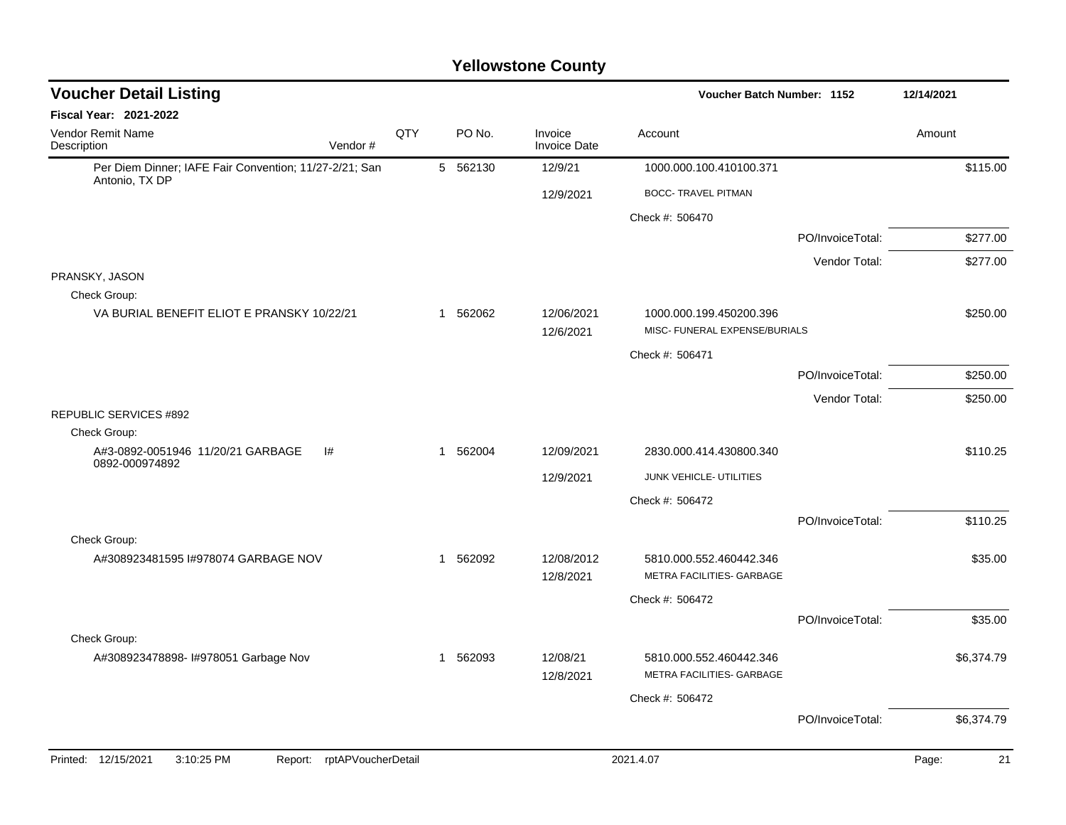| <b>Voucher Detail Listing</b>                                            |                    |          |                                | <b>Voucher Batch Number: 1152</b>                           |                  | 12/14/2021 |            |
|--------------------------------------------------------------------------|--------------------|----------|--------------------------------|-------------------------------------------------------------|------------------|------------|------------|
| Fiscal Year: 2021-2022                                                   |                    |          |                                |                                                             |                  |            |            |
| Vendor Remit Name<br>Description<br>Vendor#                              | QTY                | PO No.   | Invoice<br><b>Invoice Date</b> | Account                                                     |                  | Amount     |            |
| Per Diem Dinner; IAFE Fair Convention; 11/27-2/21; San<br>Antonio, TX DP |                    | 5 562130 | 12/9/21                        | 1000.000.100.410100.371                                     |                  |            | \$115.00   |
|                                                                          |                    |          | 12/9/2021                      | <b>BOCC- TRAVEL PITMAN</b>                                  |                  |            |            |
|                                                                          |                    |          |                                | Check #: 506470                                             |                  |            |            |
|                                                                          |                    |          |                                |                                                             | PO/InvoiceTotal: |            | \$277.00   |
|                                                                          |                    |          |                                |                                                             | Vendor Total:    |            | \$277.00   |
| PRANSKY, JASON                                                           |                    |          |                                |                                                             |                  |            |            |
| Check Group:<br>VA BURIAL BENEFIT ELIOT E PRANSKY 10/22/21               |                    | 1 562062 | 12/06/2021<br>12/6/2021        | 1000.000.199.450200.396<br>MISC- FUNERAL EXPENSE/BURIALS    |                  |            | \$250.00   |
|                                                                          |                    |          |                                | Check #: 506471                                             |                  |            |            |
|                                                                          |                    |          |                                |                                                             | PO/InvoiceTotal: |            | \$250.00   |
|                                                                          |                    |          |                                |                                                             | Vendor Total:    |            | \$250.00   |
| <b>REPUBLIC SERVICES #892</b>                                            |                    |          |                                |                                                             |                  |            |            |
| Check Group:<br>A#3-0892-0051946 11/20/21 GARBAGE                        |                    | 1 562004 |                                |                                                             |                  |            | \$110.25   |
| l#<br>0892-000974892                                                     |                    |          | 12/09/2021                     | 2830.000.414.430800.340                                     |                  |            |            |
|                                                                          |                    |          | 12/9/2021                      | JUNK VEHICLE- UTILITIES                                     |                  |            |            |
|                                                                          |                    |          |                                | Check #: 506472                                             |                  |            |            |
| Check Group:                                                             |                    |          |                                |                                                             | PO/InvoiceTotal: |            | \$110.25   |
| A#308923481595 I#978074 GARBAGE NOV                                      |                    | 1 562092 | 12/08/2012<br>12/8/2021        | 5810.000.552.460442.346<br>METRA FACILITIES- GARBAGE        |                  |            | \$35.00    |
|                                                                          |                    |          |                                | Check #: 506472                                             |                  |            |            |
|                                                                          |                    |          |                                |                                                             | PO/InvoiceTotal: |            | \$35.00    |
| Check Group:                                                             |                    |          |                                |                                                             |                  |            |            |
| A#308923478898- I#978051 Garbage Nov                                     |                    | 1 562093 | 12/08/21<br>12/8/2021          | 5810.000.552.460442.346<br><b>METRA FACILITIES- GARBAGE</b> |                  |            | \$6,374.79 |
|                                                                          |                    |          |                                | Check #: 506472                                             |                  |            |            |
|                                                                          |                    |          |                                |                                                             | PO/InvoiceTotal: |            | \$6,374.79 |
| Printed: 12/15/2021<br>3:10:25 PM<br>Report:                             | rptAPVoucherDetail |          |                                | 2021.4.07                                                   |                  | Page:      | 21         |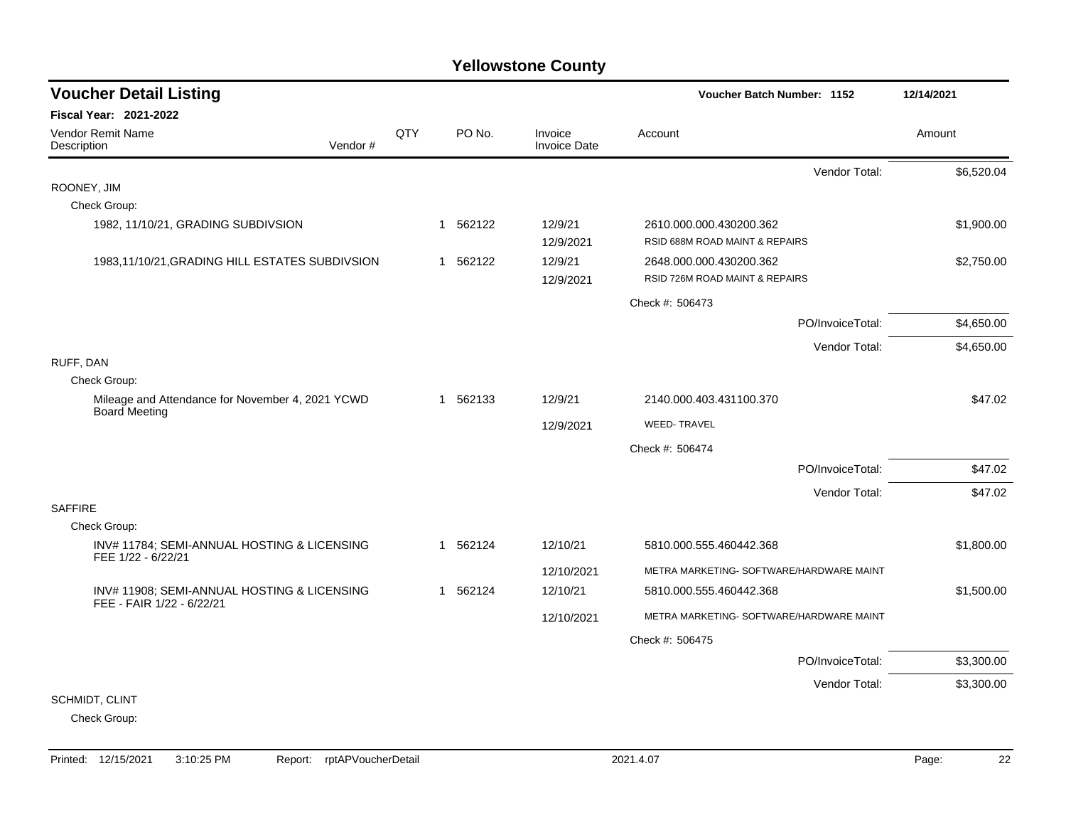| <b>Voucher Detail Listing</b>                                            |         |     |             | Voucher Batch Number: 1152     | 12/14/2021                                                |            |
|--------------------------------------------------------------------------|---------|-----|-------------|--------------------------------|-----------------------------------------------------------|------------|
| <b>Fiscal Year: 2021-2022</b>                                            |         |     |             |                                |                                                           |            |
| Vendor Remit Name<br>Description                                         | Vendor# | QTY | PO No.      | Invoice<br><b>Invoice Date</b> | Account                                                   | Amount     |
|                                                                          |         |     |             |                                | Vendor Total:                                             | \$6,520.04 |
| ROONEY, JIM                                                              |         |     |             |                                |                                                           |            |
| Check Group:                                                             |         |     |             |                                |                                                           |            |
| 1982, 11/10/21, GRADING SUBDIVSION                                       |         |     | 562122<br>1 | 12/9/21<br>12/9/2021           | 2610.000.000.430200.362<br>RSID 688M ROAD MAINT & REPAIRS | \$1,900.00 |
| 1983,11/10/21, GRADING HILL ESTATES SUBDIVSION                           |         |     | 562122<br>1 | 12/9/21<br>12/9/2021           | 2648.000.000.430200.362<br>RSID 726M ROAD MAINT & REPAIRS | \$2,750.00 |
|                                                                          |         |     |             |                                | Check #: 506473                                           |            |
|                                                                          |         |     |             |                                | PO/InvoiceTotal:                                          | \$4,650.00 |
|                                                                          |         |     |             |                                | Vendor Total:                                             | \$4,650.00 |
| RUFF, DAN                                                                |         |     |             |                                |                                                           |            |
| Check Group:                                                             |         |     |             |                                |                                                           |            |
| Mileage and Attendance for November 4, 2021 YCWD<br>Board Meeting        |         |     | 1 562133    | 12/9/21                        | 2140.000.403.431100.370                                   | \$47.02    |
|                                                                          |         |     |             | 12/9/2021                      | <b>WEED-TRAVEL</b>                                        |            |
|                                                                          |         |     |             |                                | Check #: 506474                                           |            |
|                                                                          |         |     |             |                                | PO/InvoiceTotal:                                          | \$47.02    |
|                                                                          |         |     |             |                                | Vendor Total:                                             | \$47.02    |
| <b>SAFFIRE</b>                                                           |         |     |             |                                |                                                           |            |
| Check Group:                                                             |         |     |             |                                |                                                           |            |
| INV# 11784; SEMI-ANNUAL HOSTING & LICENSING<br>FEE 1/22 - 6/22/21        |         |     | 562124<br>1 | 12/10/21                       | 5810.000.555.460442.368                                   | \$1,800.00 |
|                                                                          |         |     |             | 12/10/2021                     | METRA MARKETING- SOFTWARE/HARDWARE MAINT                  |            |
| INV# 11908; SEMI-ANNUAL HOSTING & LICENSING<br>FEE - FAIR 1/22 - 6/22/21 |         |     | 1 562124    | 12/10/21                       | 5810.000.555.460442.368                                   | \$1,500.00 |
|                                                                          |         |     |             | 12/10/2021                     | METRA MARKETING- SOFTWARE/HARDWARE MAINT                  |            |
|                                                                          |         |     |             |                                | Check #: 506475                                           |            |
|                                                                          |         |     |             |                                | PO/InvoiceTotal:                                          | \$3,300.00 |
|                                                                          |         |     |             |                                | Vendor Total:                                             | \$3,300.00 |
| SCHMIDT, CLINT                                                           |         |     |             |                                |                                                           |            |
| Check Group:                                                             |         |     |             |                                |                                                           |            |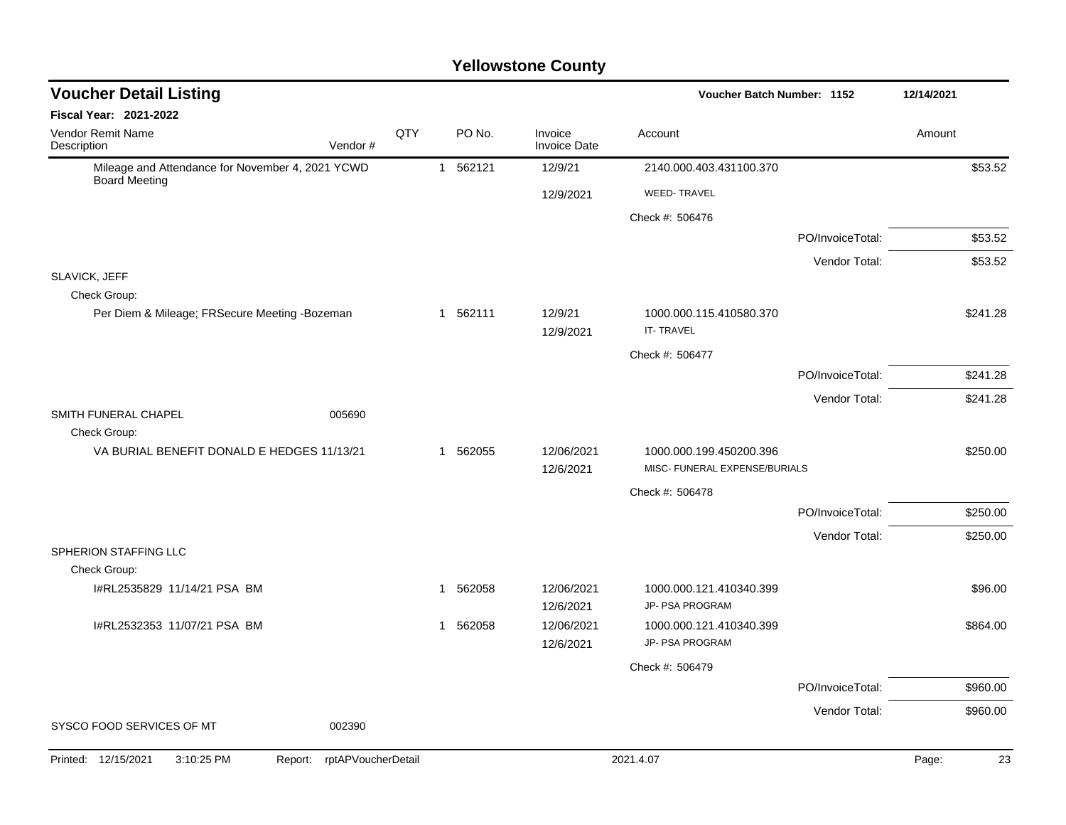| <b>Voucher Detail Listing</b>                                            |                               |     |              |          |                                | Voucher Batch Number: 1152                               |                  | 12/14/2021  |
|--------------------------------------------------------------------------|-------------------------------|-----|--------------|----------|--------------------------------|----------------------------------------------------------|------------------|-------------|
| Fiscal Year: 2021-2022                                                   |                               |     |              |          |                                |                                                          |                  |             |
| Vendor Remit Name<br>Description                                         | Vendor#                       | QTY |              | PO No.   | Invoice<br><b>Invoice Date</b> | Account                                                  |                  | Amount      |
| Mileage and Attendance for November 4, 2021 YCWD<br><b>Board Meeting</b> |                               |     |              | 1 562121 | 12/9/21                        | 2140.000.403.431100.370                                  |                  | \$53.52     |
|                                                                          |                               |     |              |          | 12/9/2021                      | <b>WEED-TRAVEL</b>                                       |                  |             |
|                                                                          |                               |     |              |          |                                | Check #: 506476                                          |                  |             |
|                                                                          |                               |     |              |          |                                |                                                          | PO/InvoiceTotal: | \$53.52     |
|                                                                          |                               |     |              |          |                                |                                                          | Vendor Total:    | \$53.52     |
| SLAVICK, JEFF<br>Check Group:                                            |                               |     |              |          |                                |                                                          |                  |             |
| Per Diem & Mileage; FRSecure Meeting -Bozeman                            |                               |     |              | 1 562111 | 12/9/21<br>12/9/2021           | 1000.000.115.410580.370<br><b>IT-TRAVEL</b>              |                  | \$241.28    |
|                                                                          |                               |     |              |          |                                | Check #: 506477                                          |                  |             |
|                                                                          |                               |     |              |          |                                |                                                          | PO/InvoiceTotal: | \$241.28    |
|                                                                          |                               |     |              |          |                                |                                                          | Vendor Total:    | \$241.28    |
| SMITH FUNERAL CHAPEL                                                     | 005690                        |     |              |          |                                |                                                          |                  |             |
| Check Group:<br>VA BURIAL BENEFIT DONALD E HEDGES 11/13/21               |                               |     |              | 1 562055 | 12/06/2021<br>12/6/2021        | 1000.000.199.450200.396<br>MISC- FUNERAL EXPENSE/BURIALS |                  | \$250.00    |
|                                                                          |                               |     |              |          |                                | Check #: 506478                                          |                  |             |
|                                                                          |                               |     |              |          |                                |                                                          | PO/InvoiceTotal: | \$250.00    |
|                                                                          |                               |     |              |          |                                |                                                          | Vendor Total:    | \$250.00    |
| SPHERION STAFFING LLC                                                    |                               |     |              |          |                                |                                                          |                  |             |
| Check Group:<br>I#RL2535829 11/14/21 PSA BM                              |                               |     | 1            | 562058   | 12/06/2021                     | 1000.000.121.410340.399<br>JP- PSA PROGRAM               |                  | \$96.00     |
| I#RL2532353 11/07/21 PSA BM                                              |                               |     | $\mathbf{1}$ | 562058   | 12/6/2021<br>12/06/2021        | 1000.000.121.410340.399                                  |                  | \$864.00    |
|                                                                          |                               |     |              |          | 12/6/2021                      | JP- PSA PROGRAM                                          |                  |             |
|                                                                          |                               |     |              |          |                                | Check #: 506479                                          |                  |             |
|                                                                          |                               |     |              |          |                                |                                                          | PO/InvoiceTotal: | \$960.00    |
|                                                                          |                               |     |              |          |                                |                                                          | Vendor Total:    | \$960.00    |
| SYSCO FOOD SERVICES OF MT                                                | 002390                        |     |              |          |                                |                                                          |                  |             |
| Printed: 12/15/2021<br>3:10:25 PM                                        | rptAPVoucherDetail<br>Report: |     |              |          |                                | 2021.4.07                                                |                  | Page:<br>23 |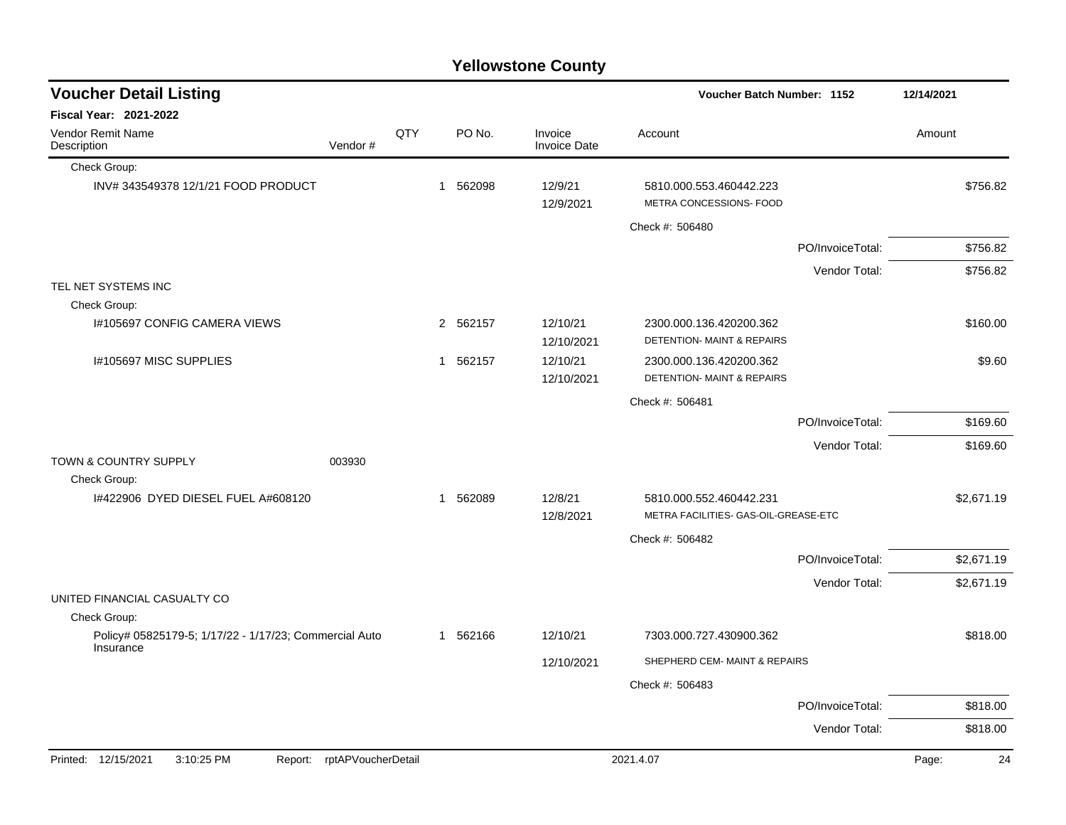|  | <b>Yellowstone County</b> |  |
|--|---------------------------|--|
|--|---------------------------|--|

| <b>Voucher Detail Listing</b>                                       |                    |     |             |          |                                | Voucher Batch Number: 1152                                       |                  | 12/14/2021  |
|---------------------------------------------------------------------|--------------------|-----|-------------|----------|--------------------------------|------------------------------------------------------------------|------------------|-------------|
| Fiscal Year: 2021-2022                                              |                    |     |             |          |                                |                                                                  |                  |             |
| Vendor Remit Name<br>Description                                    | Vendor#            | QTY |             | PO No.   | Invoice<br><b>Invoice Date</b> | Account                                                          |                  | Amount      |
| Check Group:                                                        |                    |     |             |          |                                |                                                                  |                  |             |
| INV# 343549378 12/1/21 FOOD PRODUCT                                 |                    |     |             | 1 562098 | 12/9/21<br>12/9/2021           | 5810.000.553.460442.223<br>METRA CONCESSIONS- FOOD               |                  | \$756.82    |
|                                                                     |                    |     |             |          |                                | Check #: 506480                                                  |                  |             |
|                                                                     |                    |     |             |          |                                |                                                                  | PO/InvoiceTotal: | \$756.82    |
|                                                                     |                    |     |             |          |                                |                                                                  | Vendor Total:    | \$756.82    |
| TEL NET SYSTEMS INC                                                 |                    |     |             |          |                                |                                                                  |                  |             |
| Check Group:                                                        |                    |     |             |          |                                |                                                                  |                  |             |
| <b>I#105697 CONFIG CAMERA VIEWS</b>                                 |                    |     |             | 2 562157 | 12/10/21<br>12/10/2021         | 2300.000.136.420200.362<br><b>DETENTION- MAINT &amp; REPAIRS</b> |                  | \$160.00    |
| I#105697 MISC SUPPLIES                                              |                    |     |             | 1 562157 | 12/10/21                       | 2300.000.136.420200.362                                          |                  | \$9.60      |
|                                                                     |                    |     |             |          | 12/10/2021                     | DETENTION- MAINT & REPAIRS                                       |                  |             |
|                                                                     |                    |     |             |          |                                | Check #: 506481                                                  |                  |             |
|                                                                     |                    |     |             |          |                                |                                                                  | PO/InvoiceTotal: | \$169.60    |
|                                                                     |                    |     |             |          |                                |                                                                  | Vendor Total:    | \$169.60    |
| TOWN & COUNTRY SUPPLY<br>Check Group:                               | 003930             |     |             |          |                                |                                                                  |                  |             |
| 1#422906 DYED DIESEL FUEL A#608120                                  |                    |     | $\mathbf 1$ | 562089   | 12/8/21                        | 5810.000.552.460442.231                                          |                  | \$2,671.19  |
|                                                                     |                    |     |             |          | 12/8/2021                      | METRA FACILITIES- GAS-OIL-GREASE-ETC                             |                  |             |
|                                                                     |                    |     |             |          |                                | Check #: 506482                                                  |                  |             |
|                                                                     |                    |     |             |          |                                |                                                                  | PO/InvoiceTotal: | \$2,671.19  |
|                                                                     |                    |     |             |          |                                |                                                                  | Vendor Total:    | \$2,671.19  |
| UNITED FINANCIAL CASUALTY CO                                        |                    |     |             |          |                                |                                                                  |                  |             |
| Check Group:                                                        |                    |     |             |          |                                |                                                                  |                  |             |
| Policy# 05825179-5; 1/17/22 - 1/17/23; Commercial Auto<br>Insurance |                    |     |             | 1 562166 | 12/10/21                       | 7303.000.727.430900.362                                          |                  | \$818.00    |
|                                                                     |                    |     |             |          | 12/10/2021                     | SHEPHERD CEM- MAINT & REPAIRS                                    |                  |             |
|                                                                     |                    |     |             |          |                                | Check #: 506483                                                  |                  |             |
|                                                                     |                    |     |             |          |                                |                                                                  | PO/InvoiceTotal: | \$818.00    |
|                                                                     |                    |     |             |          |                                |                                                                  | Vendor Total:    | \$818.00    |
| Printed: 12/15/2021<br>3:10:25 PM<br>Report:                        | rptAPVoucherDetail |     |             |          |                                | 2021.4.07                                                        |                  | 24<br>Page: |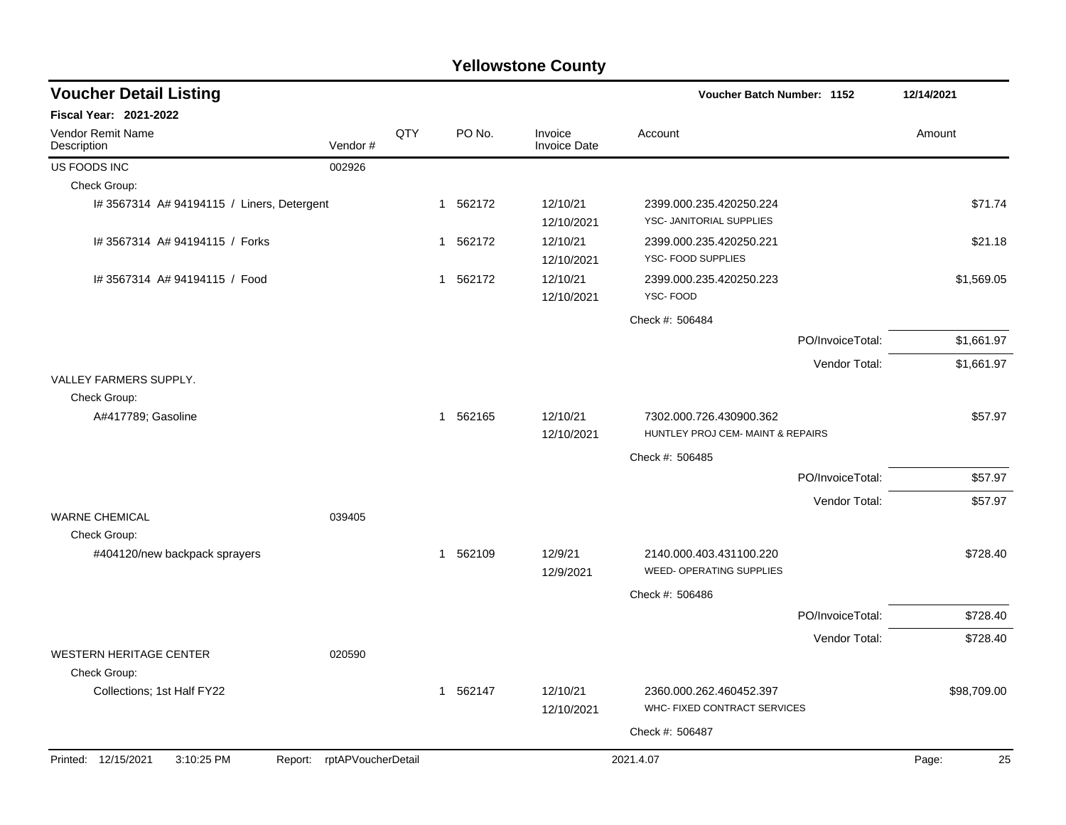| <b>Voucher Detail Listing</b>                  |                    |     |          |                                | Voucher Batch Number: 1152                                   |                  | 12/14/2021  |  |
|------------------------------------------------|--------------------|-----|----------|--------------------------------|--------------------------------------------------------------|------------------|-------------|--|
| <b>Fiscal Year: 2021-2022</b>                  |                    |     |          |                                |                                                              |                  |             |  |
| Vendor Remit Name<br>Description               | Vendor#            | QTY | PO No.   | Invoice<br><b>Invoice Date</b> | Account                                                      |                  | Amount      |  |
| US FOODS INC                                   | 002926             |     |          |                                |                                                              |                  |             |  |
| Check Group:                                   |                    |     |          |                                |                                                              |                  |             |  |
| I# 3567314 A# 94194115 / Liners, Detergent     |                    |     | 1 562172 | 12/10/21<br>12/10/2021         | 2399.000.235.420250.224<br>YSC- JANITORIAL SUPPLIES          |                  | \$71.74     |  |
| I# 3567314 A# 94194115 / Forks                 |                    |     | 1 562172 | 12/10/21<br>12/10/2021         | 2399.000.235.420250.221<br>YSC- FOOD SUPPLIES                |                  | \$21.18     |  |
| # 3567314 A# 94194115 / Food                   |                    |     | 1 562172 | 12/10/21<br>12/10/2021         | 2399.000.235.420250.223<br>YSC-FOOD                          |                  | \$1,569.05  |  |
|                                                |                    |     |          |                                | Check #: 506484                                              |                  |             |  |
|                                                |                    |     |          |                                |                                                              | PO/InvoiceTotal: | \$1,661.97  |  |
|                                                |                    |     |          |                                |                                                              | Vendor Total:    | \$1,661.97  |  |
| VALLEY FARMERS SUPPLY.<br>Check Group:         |                    |     |          |                                |                                                              |                  |             |  |
| A#417789; Gasoline                             |                    |     | 1 562165 | 12/10/21<br>12/10/2021         | 7302.000.726.430900.362<br>HUNTLEY PROJ CEM- MAINT & REPAIRS |                  | \$57.97     |  |
|                                                |                    |     |          |                                | Check #: 506485                                              |                  |             |  |
|                                                |                    |     |          |                                |                                                              | PO/InvoiceTotal: | \$57.97     |  |
|                                                |                    |     |          |                                |                                                              | Vendor Total:    | \$57.97     |  |
| <b>WARNE CHEMICAL</b>                          | 039405             |     |          |                                |                                                              |                  |             |  |
| Check Group:                                   |                    |     |          |                                |                                                              |                  |             |  |
| #404120/new backpack sprayers                  |                    |     | 1 562109 | 12/9/21<br>12/9/2021           | 2140.000.403.431100.220<br><b>WEED- OPERATING SUPPLIES</b>   |                  | \$728.40    |  |
|                                                |                    |     |          |                                | Check #: 506486                                              |                  |             |  |
|                                                |                    |     |          |                                |                                                              | PO/InvoiceTotal: | \$728.40    |  |
|                                                |                    |     |          |                                |                                                              | Vendor Total:    | \$728.40    |  |
| <b>WESTERN HERITAGE CENTER</b><br>Check Group: | 020590             |     |          |                                |                                                              |                  |             |  |
| Collections; 1st Half FY22                     |                    |     | 1 562147 | 12/10/21<br>12/10/2021         | 2360.000.262.460452.397<br>WHC- FIXED CONTRACT SERVICES      |                  | \$98,709.00 |  |
|                                                |                    |     |          |                                | Check #: 506487                                              |                  |             |  |
| Printed: 12/15/2021<br>3:10:25 PM<br>Report:   | rptAPVoucherDetail |     |          |                                | 2021.4.07                                                    |                  | Page:<br>25 |  |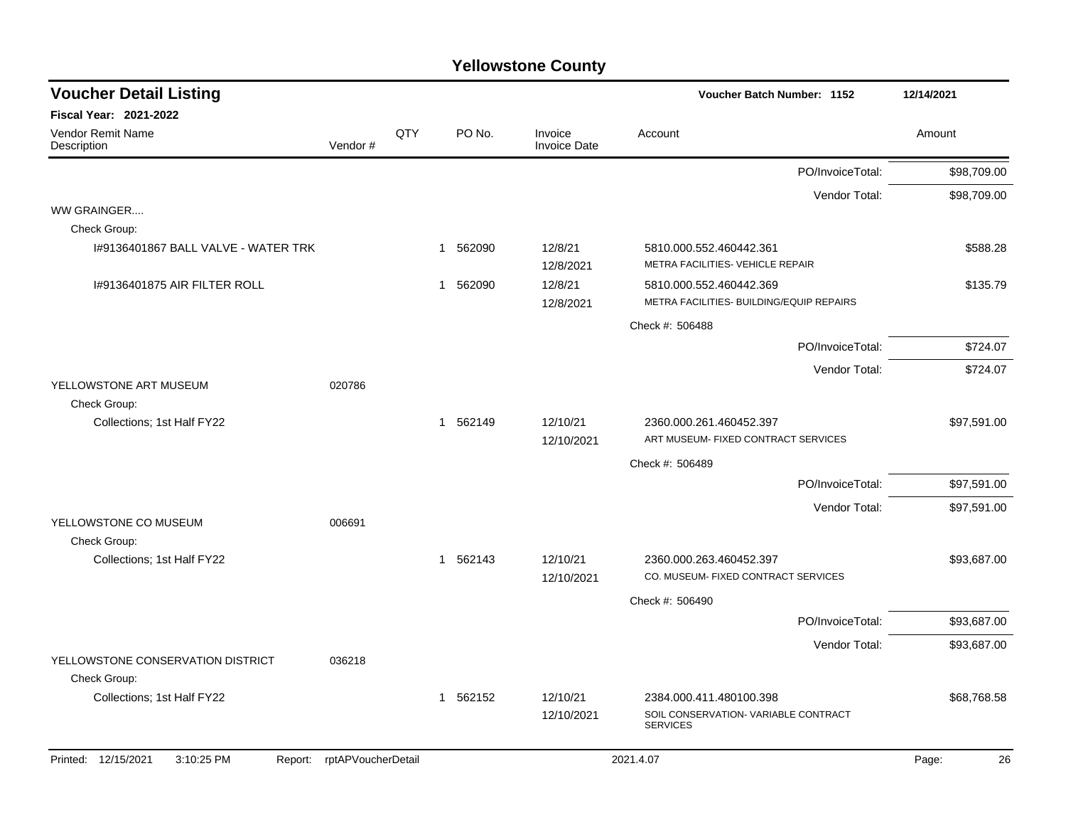| <b>Voucher Detail Listing</b>                     |                    |     |                        |                                | Voucher Batch Number: 1152                                          |                  | 12/14/2021  |
|---------------------------------------------------|--------------------|-----|------------------------|--------------------------------|---------------------------------------------------------------------|------------------|-------------|
| <b>Fiscal Year: 2021-2022</b>                     |                    |     |                        |                                |                                                                     |                  |             |
| <b>Vendor Remit Name</b><br>Description           | Vendor#            | QTY | PO No.                 | Invoice<br><b>Invoice Date</b> | Account                                                             |                  | Amount      |
|                                                   |                    |     |                        |                                |                                                                     | PO/InvoiceTotal: | \$98,709.00 |
|                                                   |                    |     |                        |                                |                                                                     | Vendor Total:    | \$98,709.00 |
| WW GRAINGER<br>Check Group:                       |                    |     |                        |                                |                                                                     |                  |             |
| 1#9136401867 BALL VALVE - WATER TRK               |                    |     | 562090<br>1            | 12/8/21<br>12/8/2021           | 5810.000.552.460442.361<br>METRA FACILITIES- VEHICLE REPAIR         |                  | \$588.28    |
| 1#9136401875 AIR FILTER ROLL                      |                    |     | 562090<br>1            | 12/8/21<br>12/8/2021           | 5810.000.552.460442.369<br>METRA FACILITIES- BUILDING/EQUIP REPAIRS |                  | \$135.79    |
|                                                   |                    |     |                        |                                | Check #: 506488                                                     |                  |             |
|                                                   |                    |     |                        |                                |                                                                     | PO/InvoiceTotal: | \$724.07    |
|                                                   |                    |     |                        |                                |                                                                     | Vendor Total:    | \$724.07    |
| YELLOWSTONE ART MUSEUM<br>Check Group:            | 020786             |     |                        |                                |                                                                     |                  |             |
| Collections; 1st Half FY22                        |                    |     | 1 562149               | 12/10/21<br>12/10/2021         | 2360.000.261.460452.397<br>ART MUSEUM- FIXED CONTRACT SERVICES      |                  | \$97,591.00 |
|                                                   |                    |     |                        |                                | Check #: 506489                                                     |                  |             |
|                                                   |                    |     |                        |                                |                                                                     | PO/InvoiceTotal: | \$97,591.00 |
|                                                   |                    |     |                        |                                |                                                                     | Vendor Total:    | \$97,591.00 |
| YELLOWSTONE CO MUSEUM<br>Check Group:             | 006691             |     |                        |                                |                                                                     |                  |             |
| Collections; 1st Half FY22                        |                    |     | 562143<br>$\mathbf{1}$ | 12/10/21<br>12/10/2021         | 2360.000.263.460452.397<br>CO. MUSEUM- FIXED CONTRACT SERVICES      |                  | \$93,687.00 |
|                                                   |                    |     |                        |                                | Check #: 506490                                                     |                  |             |
|                                                   |                    |     |                        |                                |                                                                     | PO/InvoiceTotal: | \$93,687.00 |
|                                                   |                    |     |                        |                                |                                                                     | Vendor Total:    | \$93,687.00 |
| YELLOWSTONE CONSERVATION DISTRICT<br>Check Group: | 036218             |     |                        |                                |                                                                     |                  |             |
| Collections; 1st Half FY22                        |                    |     | 1 562152               | 12/10/21                       | 2384.000.411.480100.398                                             |                  | \$68,768.58 |
|                                                   |                    |     |                        | 12/10/2021                     | SOIL CONSERVATION-VARIABLE CONTRACT<br><b>SERVICES</b>              |                  |             |
| Printed: 12/15/2021<br>3:10:25 PM<br>Report:      | rptAPVoucherDetail |     |                        |                                | 2021.4.07                                                           |                  | Page:<br>26 |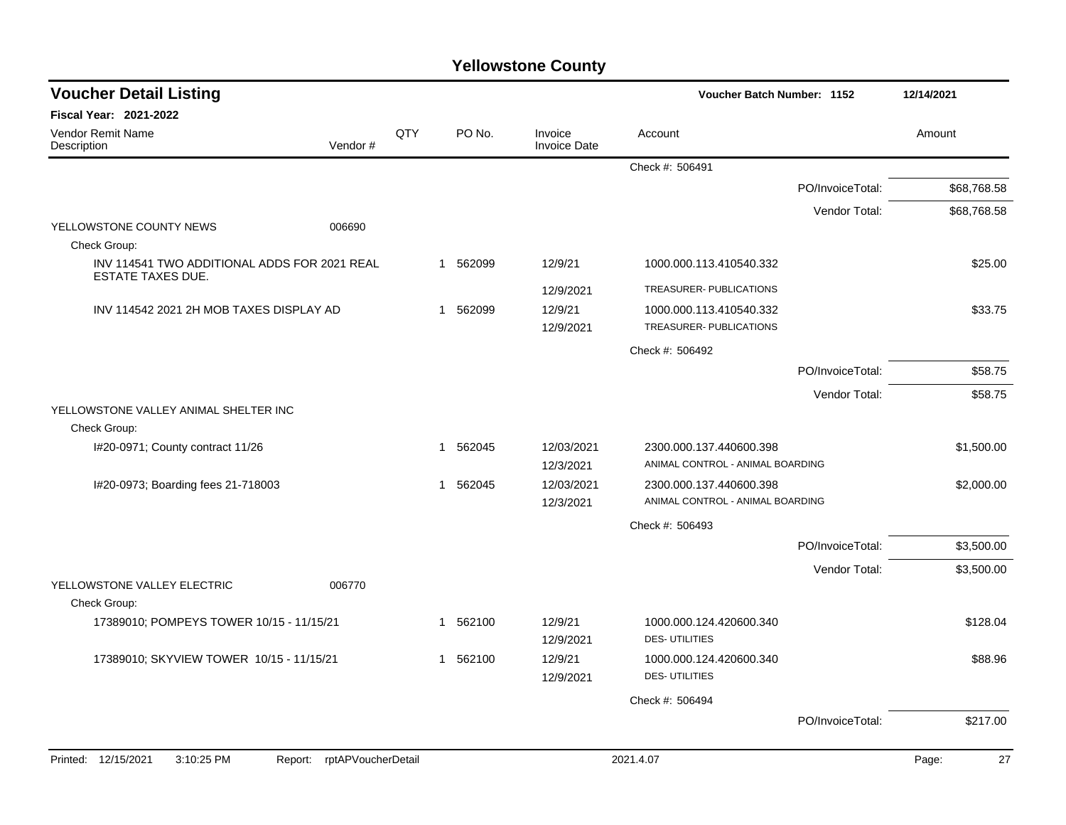| <b>Voucher Detail Listing</b>                                            |                               |     |                        |                                | Voucher Batch Number: 1152                                  |                  | 12/14/2021  |
|--------------------------------------------------------------------------|-------------------------------|-----|------------------------|--------------------------------|-------------------------------------------------------------|------------------|-------------|
| <b>Fiscal Year: 2021-2022</b>                                            |                               |     |                        |                                |                                                             |                  |             |
| Vendor Remit Name<br>Description                                         | Vendor#                       | QTY | PO No.                 | Invoice<br><b>Invoice Date</b> | Account                                                     |                  | Amount      |
|                                                                          |                               |     |                        |                                | Check #: 506491                                             |                  |             |
|                                                                          |                               |     |                        |                                |                                                             | PO/InvoiceTotal: | \$68,768.58 |
|                                                                          |                               |     |                        |                                |                                                             | Vendor Total:    | \$68,768.58 |
| YELLOWSTONE COUNTY NEWS<br>Check Group:                                  | 006690                        |     |                        |                                |                                                             |                  |             |
| INV 114541 TWO ADDITIONAL ADDS FOR 2021 REAL<br><b>ESTATE TAXES DUE.</b> |                               |     | 1 562099               | 12/9/21                        | 1000.000.113.410540.332                                     |                  | \$25.00     |
|                                                                          |                               |     |                        | 12/9/2021                      | TREASURER- PUBLICATIONS                                     |                  |             |
| INV 114542 2021 2H MOB TAXES DISPLAY AD                                  |                               |     | 1 562099               | 12/9/21<br>12/9/2021           | 1000.000.113.410540.332<br><b>TREASURER- PUBLICATIONS</b>   |                  | \$33.75     |
|                                                                          |                               |     |                        |                                | Check #: 506492                                             |                  |             |
|                                                                          |                               |     |                        |                                |                                                             | PO/InvoiceTotal: | \$58.75     |
|                                                                          |                               |     |                        |                                |                                                             | Vendor Total:    | \$58.75     |
| YELLOWSTONE VALLEY ANIMAL SHELTER INC                                    |                               |     |                        |                                |                                                             |                  |             |
| Check Group:<br>I#20-0971; County contract 11/26                         |                               |     | 1 562045               | 12/03/2021                     |                                                             |                  | \$1,500.00  |
|                                                                          |                               |     |                        | 12/3/2021                      | 2300.000.137.440600.398<br>ANIMAL CONTROL - ANIMAL BOARDING |                  |             |
| I#20-0973; Boarding fees 21-718003                                       |                               |     | 562045<br>$\mathbf{1}$ | 12/03/2021                     | 2300.000.137.440600.398                                     |                  | \$2,000.00  |
|                                                                          |                               |     |                        | 12/3/2021                      | ANIMAL CONTROL - ANIMAL BOARDING                            |                  |             |
|                                                                          |                               |     |                        |                                | Check #: 506493                                             |                  |             |
|                                                                          |                               |     |                        |                                |                                                             | PO/InvoiceTotal: | \$3,500.00  |
|                                                                          |                               |     |                        |                                |                                                             | Vendor Total:    | \$3,500.00  |
| YELLOWSTONE VALLEY ELECTRIC                                              | 006770                        |     |                        |                                |                                                             |                  |             |
| Check Group:                                                             |                               |     |                        |                                |                                                             |                  |             |
| 17389010; POMPEYS TOWER 10/15 - 11/15/21                                 |                               |     | 1 562100               | 12/9/21<br>12/9/2021           | 1000.000.124.420600.340<br><b>DES-UTILITIES</b>             |                  | \$128.04    |
| 17389010; SKYVIEW TOWER 10/15 - 11/15/21                                 |                               |     | 1 562100               | 12/9/21<br>12/9/2021           | 1000.000.124.420600.340<br><b>DES-UTILITIES</b>             |                  | \$88.96     |
|                                                                          |                               |     |                        |                                | Check #: 506494                                             |                  |             |
|                                                                          |                               |     |                        |                                |                                                             | PO/InvoiceTotal: | \$217.00    |
|                                                                          |                               |     |                        |                                |                                                             |                  | 27          |
| Printed: 12/15/2021<br>3:10:25 PM                                        | rptAPVoucherDetail<br>Report: |     |                        |                                | 2021.4.07                                                   |                  | Page:       |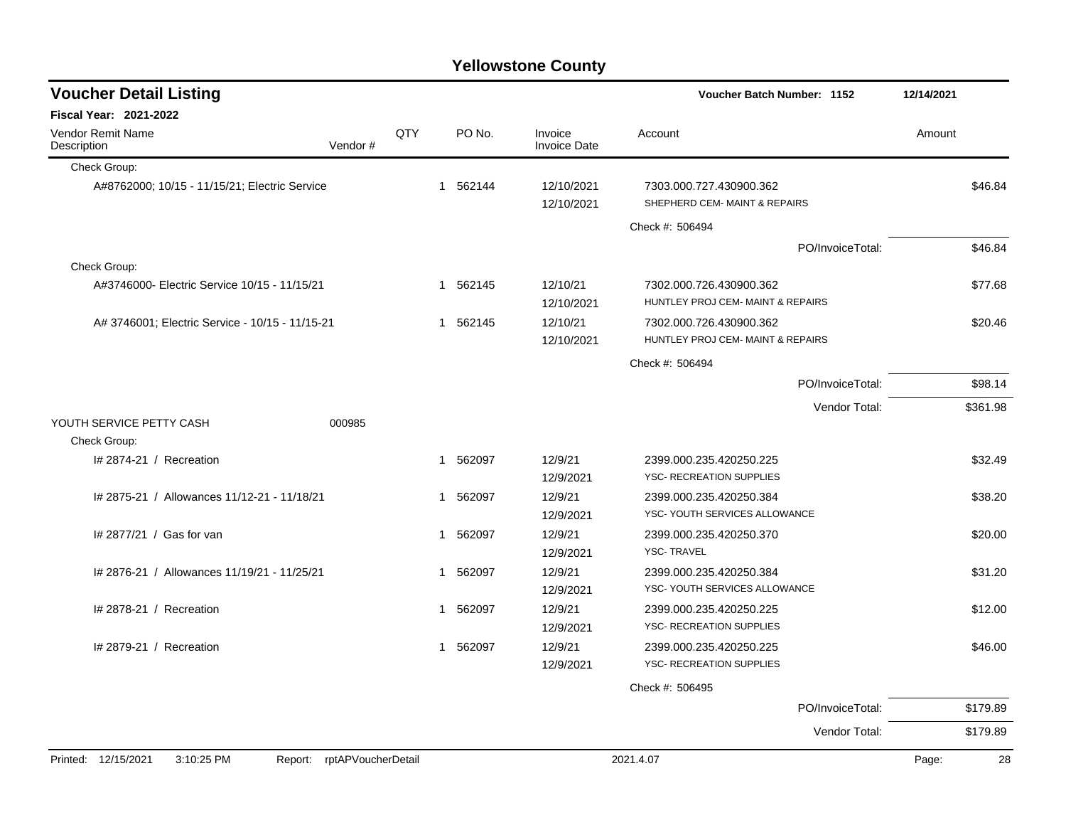| <b>Voucher Detail Listing</b>                   |                    |     |          |                                | Voucher Batch Number: 1152                                   |                  | 12/14/2021  |
|-------------------------------------------------|--------------------|-----|----------|--------------------------------|--------------------------------------------------------------|------------------|-------------|
| <b>Fiscal Year: 2021-2022</b>                   |                    |     |          |                                |                                                              |                  |             |
| <b>Vendor Remit Name</b><br>Description         | Vendor#            | QTY | PO No.   | Invoice<br><b>Invoice Date</b> | Account                                                      |                  | Amount      |
| Check Group:                                    |                    |     |          |                                |                                                              |                  |             |
| A#8762000; 10/15 - 11/15/21; Electric Service   |                    |     | 1 562144 | 12/10/2021<br>12/10/2021       | 7303.000.727.430900.362<br>SHEPHERD CEM- MAINT & REPAIRS     |                  | \$46.84     |
|                                                 |                    |     |          |                                | Check #: 506494                                              |                  |             |
|                                                 |                    |     |          |                                |                                                              | PO/InvoiceTotal: | \$46.84     |
| Check Group:                                    |                    |     |          |                                |                                                              |                  |             |
| A#3746000- Electric Service 10/15 - 11/15/21    |                    |     | 1 562145 | 12/10/21<br>12/10/2021         | 7302.000.726.430900.362<br>HUNTLEY PROJ CEM- MAINT & REPAIRS |                  | \$77.68     |
| A# 3746001; Electric Service - 10/15 - 11/15-21 |                    |     | 1 562145 | 12/10/21<br>12/10/2021         | 7302.000.726.430900.362<br>HUNTLEY PROJ CEM- MAINT & REPAIRS |                  | \$20.46     |
|                                                 |                    |     |          |                                | Check #: 506494                                              |                  |             |
|                                                 |                    |     |          |                                |                                                              | PO/InvoiceTotal: | \$98.14     |
|                                                 |                    |     |          |                                |                                                              | Vendor Total:    | \$361.98    |
| YOUTH SERVICE PETTY CASH                        | 000985             |     |          |                                |                                                              |                  |             |
| Check Group:                                    |                    |     |          |                                |                                                              |                  |             |
| # 2874-21 / Recreation                          |                    | 1   | 562097   | 12/9/21                        | 2399.000.235.420250.225                                      |                  | \$32.49     |
|                                                 |                    |     |          | 12/9/2021                      | YSC- RECREATION SUPPLIES                                     |                  |             |
| # 2875-21 / Allowances 11/12-21 - 11/18/21      |                    | 1   | 562097   | 12/9/21<br>12/9/2021           | 2399.000.235.420250.384<br>YSC- YOUTH SERVICES ALLOWANCE     |                  | \$38.20     |
| # 2877/21 / Gas for van                         |                    | 1   | 562097   | 12/9/21<br>12/9/2021           | 2399.000.235.420250.370<br><b>YSC-TRAVEL</b>                 |                  | \$20.00     |
| # 2876-21 / Allowances 11/19/21 - 11/25/21      |                    | 1   | 562097   | 12/9/21<br>12/9/2021           | 2399.000.235.420250.384<br>YSC- YOUTH SERVICES ALLOWANCE     |                  | \$31.20     |
| I# 2878-21 / Recreation                         |                    | 1   | 562097   | 12/9/21<br>12/9/2021           | 2399.000.235.420250.225<br>YSC- RECREATION SUPPLIES          |                  | \$12.00     |
| # 2879-21 / Recreation                          |                    | 1   | 562097   | 12/9/21<br>12/9/2021           | 2399.000.235.420250.225<br>YSC- RECREATION SUPPLIES          |                  | \$46.00     |
|                                                 |                    |     |          |                                | Check #: 506495                                              |                  |             |
|                                                 |                    |     |          |                                |                                                              | PO/InvoiceTotal: | \$179.89    |
|                                                 |                    |     |          |                                |                                                              | Vendor Total:    | \$179.89    |
|                                                 |                    |     |          |                                |                                                              |                  |             |
| Printed: 12/15/2021<br>3:10:25 PM<br>Report:    | rptAPVoucherDetail |     |          |                                | 2021.4.07                                                    |                  | 28<br>Page: |